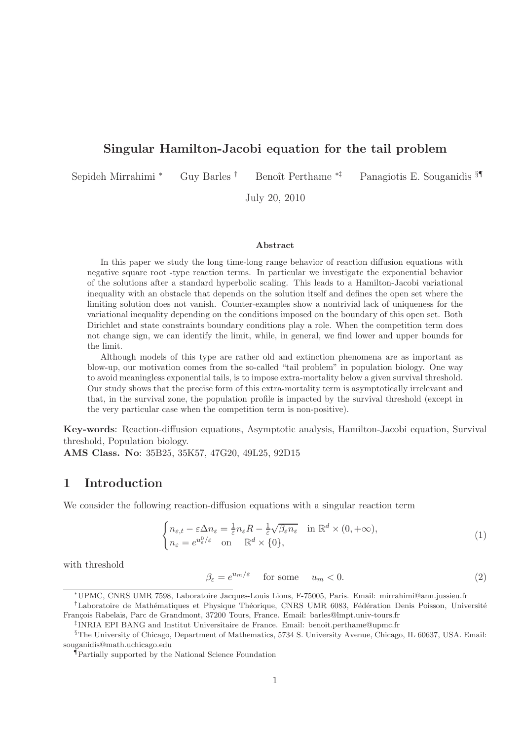## Singular Hamilton-Jacobi equation for the tail problem

Sepideh Mirrahimi \* Guy Barles † Benoît Perthame \*<sup>‡</sup> Panagiotis E. Souganidis §¶

July 20, 2010

#### Abstract

In this paper we study the long time-long range behavior of reaction diffusion equations with negative square root -type reaction terms. In particular we investigate the exponential behavior of the solutions after a standard hyperbolic scaling. This leads to a Hamilton-Jacobi variational inequality with an obstacle that depends on the solution itself and defines the open set where the limiting solution does not vanish. Counter-examples show a nontrivial lack of uniqueness for the variational inequality depending on the conditions imposed on the boundary of this open set. Both Dirichlet and state constraints boundary conditions play a role. When the competition term does not change sign, we can identify the limit, while, in general, we find lower and upper bounds for the limit.

Although models of this type are rather old and extinction phenomena are as important as blow-up, our motivation comes from the so-called "tail problem" in population biology. One way to avoid meaningless exponential tails, is to impose extra-mortality below a given survival threshold. Our study shows that the precise form of this extra-mortality term is asymptotically irrelevant and that, in the survival zone, the population profile is impacted by the survival threshold (except in the very particular case when the competition term is non-positive).

Key-words: Reaction-diffusion equations, Asymptotic analysis, Hamilton-Jacobi equation, Survival threshold, Population biology.

AMS Class. No: 35B25, 35K57, 47G20, 49L25, 92D15

#### 1 Introduction

We consider the following reaction-diffusion equations with a singular reaction term

$$
\begin{cases} n_{\varepsilon,t} - \varepsilon \Delta n_{\varepsilon} = \frac{1}{\varepsilon} n_{\varepsilon} R - \frac{1}{\varepsilon} \sqrt{\beta_{\varepsilon} n_{\varepsilon}} & \text{in } \mathbb{R}^d \times (0, +\infty), \\ n_{\varepsilon} = e^{u_{\varepsilon}^0/\varepsilon} & \text{on } \mathbb{R}^d \times \{0\}, \end{cases}
$$
 (1)

with threshold

$$
\beta_{\varepsilon} = e^{u_m/\varepsilon} \quad \text{for some} \quad u_m < 0. \tag{2}
$$

<sup>∗</sup>UPMC, CNRS UMR 7598, Laboratoire Jacques-Louis Lions, F-75005, Paris. Email: mirrahimi@ann.jussieu.fr

<sup>&</sup>lt;sup>†</sup>Laboratoire de Mathématiques et Physique Théorique, CNRS UMR 6083, Fédération Denis Poisson, Université François Rabelais, Parc de Grandmont, 37200 Tours, France. Email: barles@lmpt.univ-tours.fr

<sup>‡</sup> INRIA EPI BANG and Institut Universitaire de France. Email: benoit.perthame@upmc.fr

<sup>§</sup>The University of Chicago, Department of Mathematics, 5734 S. University Avenue, Chicago, IL 60637, USA. Email: souganidis@math.uchicago.edu

<sup>¶</sup>Partially supported by the National Science Foundation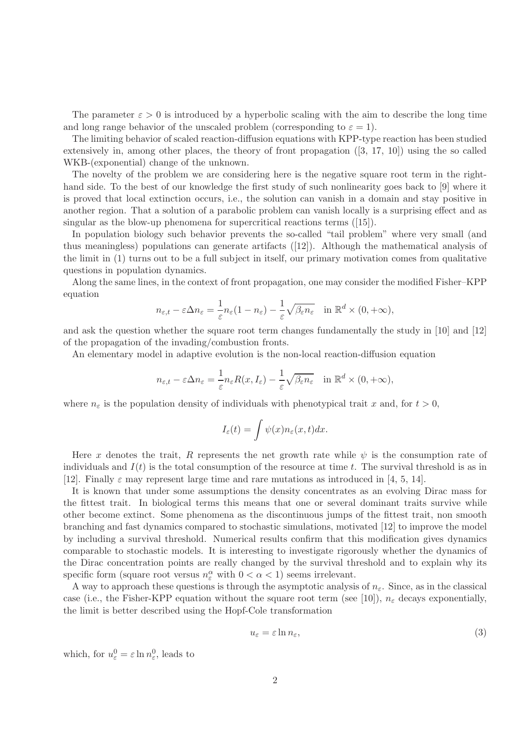The parameter  $\varepsilon > 0$  is introduced by a hyperbolic scaling with the aim to describe the long time and long range behavior of the unscaled problem (corresponding to  $\varepsilon = 1$ ).

The limiting behavior of scaled reaction-diffusion equations with KPP-type reaction has been studied extensively in, among other places, the theory of front propagation ([3, 17, 10]) using the so called WKB-(exponential) change of the unknown.

The novelty of the problem we are considering here is the negative square root term in the righthand side. To the best of our knowledge the first study of such nonlinearity goes back to [9] where it is proved that local extinction occurs, i.e., the solution can vanish in a domain and stay positive in another region. That a solution of a parabolic problem can vanish locally is a surprising effect and as singular as the blow-up phenomena for supercritical reactions terms ([15]).

In population biology such behavior prevents the so-called "tail problem" where very small (and thus meaningless) populations can generate artifacts ([12]). Although the mathematical analysis of the limit in (1) turns out to be a full subject in itself, our primary motivation comes from qualitative questions in population dynamics.

Along the same lines, in the context of front propagation, one may consider the modified Fisher–KPP equation

$$
n_{\varepsilon,t} - \varepsilon \Delta n_{\varepsilon} = \frac{1}{\varepsilon} n_{\varepsilon} (1 - n_{\varepsilon}) - \frac{1}{\varepsilon} \sqrt{\beta_{\varepsilon} n_{\varepsilon}} \quad \text{in } \mathbb{R}^d \times (0, +\infty),
$$

and ask the question whether the square root term changes fundamentally the study in [10] and [12] of the propagation of the invading/combustion fronts.

An elementary model in adaptive evolution is the non-local reaction-diffusion equation

$$
n_{\varepsilon,t} - \varepsilon \Delta n_{\varepsilon} = \frac{1}{\varepsilon} n_{\varepsilon} R(x, I_{\varepsilon}) - \frac{1}{\varepsilon} \sqrt{\beta_{\varepsilon} n_{\varepsilon}} \quad \text{in } \mathbb{R}^d \times (0, +\infty),
$$

where  $n_{\varepsilon}$  is the population density of individuals with phenotypical trait x and, for  $t > 0$ ,

$$
I_{\varepsilon}(t) = \int \psi(x) n_{\varepsilon}(x, t) dx.
$$

Here x denotes the trait, R represents the net growth rate while  $\psi$  is the consumption rate of individuals and  $I(t)$  is the total consumption of the resource at time t. The survival threshold is as in [12]. Finally  $\varepsilon$  may represent large time and rare mutations as introduced in [4, 5, 14].

It is known that under some assumptions the density concentrates as an evolving Dirac mass for the fittest trait. In biological terms this means that one or several dominant traits survive while other become extinct. Some phenomena as the discontinuous jumps of the fittest trait, non smooth branching and fast dynamics compared to stochastic simulations, motivated [12] to improve the model by including a survival threshold. Numerical results confirm that this modification gives dynamics comparable to stochastic models. It is interesting to investigate rigorously whether the dynamics of the Dirac concentration points are really changed by the survival threshold and to explain why its specific form (square root versus  $n_{\varepsilon}^{\alpha}$  with  $0 < \alpha < 1$ ) seems irrelevant.

A way to approach these questions is through the asymptotic analysis of  $n_{\varepsilon}$ . Since, as in the classical case (i.e., the Fisher-KPP equation without the square root term (see [10]),  $n_{\varepsilon}$  decays exponentially, the limit is better described using the Hopf-Cole transformation

$$
u_{\varepsilon} = \varepsilon \ln n_{\varepsilon},\tag{3}
$$

which, for  $u_{\varepsilon}^0 = \varepsilon \ln n_{\varepsilon}^0$ , leads to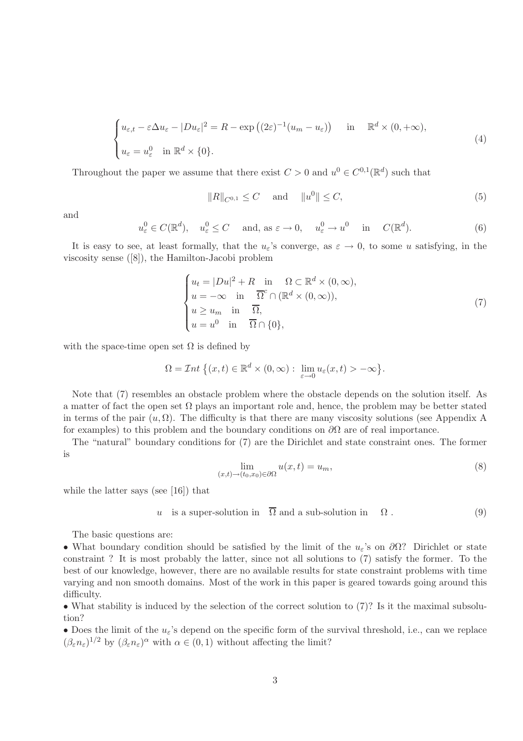$$
\begin{cases} u_{\varepsilon,t} - \varepsilon \Delta u_{\varepsilon} - |Du_{\varepsilon}|^2 = R - \exp\left((2\varepsilon)^{-1}(u_m - u_{\varepsilon})\right) & \text{in} \quad \mathbb{R}^d \times (0, +\infty), \\ u_{\varepsilon} = u_{\varepsilon}^0 & \text{in } \mathbb{R}^d \times \{0\}. \end{cases}
$$
 (4)

Throughout the paper we assume that there exist  $C > 0$  and  $u^0 \in C^{0,1}(\mathbb{R}^d)$  such that

$$
||R||_{C^{0,1}} \le C \quad \text{ and } \quad ||u^0|| \le C,
$$
 (5)

and

$$
u_{\varepsilon}^{0} \in C(\mathbb{R}^{d}), \quad u_{\varepsilon}^{0} \le C \quad \text{ and, as } \varepsilon \to 0, \quad u_{\varepsilon}^{0} \to u^{0} \quad \text{in} \quad C(\mathbb{R}^{d}).
$$
 (6)

It is easy to see, at least formally, that the  $u_{\varepsilon}$ 's converge, as  $\varepsilon \to 0$ , to some u satisfying, in the viscosity sense ([8]), the Hamilton-Jacobi problem

$$
\begin{cases}\n u_t = |Du|^2 + R & \text{in} \quad \Omega \subset \mathbb{R}^d \times (0, \infty), \\
 u = -\infty & \text{in} \quad \overline{\Omega}^c \cap (\mathbb{R}^d \times (0, \infty)), \\
 u \ge u_m & \text{in} \quad \overline{\Omega}, \\
 u = u^0 & \text{in} \quad \overline{\Omega} \cap \{0\},\n\end{cases} (7)
$$

with the space-time open set  $\Omega$  is defined by

$$
\Omega = \mathcal{I}nt \{(x, t) \in \mathbb{R}^d \times (0, \infty) : \lim_{\varepsilon \to 0} u_{\varepsilon}(x, t) > -\infty \}.
$$

Note that (7) resembles an obstacle problem where the obstacle depends on the solution itself. As a matter of fact the open set  $\Omega$  plays an important role and, hence, the problem may be better stated in terms of the pair  $(u, \Omega)$ . The difficulty is that there are many viscosity solutions (see Appendix A for examples) to this problem and the boundary conditions on  $\partial\Omega$  are of real importance.

The "natural" boundary conditions for (7) are the Dirichlet and state constraint ones. The former is

$$
\lim_{(x,t)\to(t_0,x_0)\in\partial\Omega} u(x,t) = u_m,\tag{8}
$$

while the latter says (see [16]) that

$$
u
$$
 is a super-solution in  $\overline{\Omega}$  and a sub-solution in  $\Omega$ . (9)

The basic questions are:

• What boundary condition should be satisfied by the limit of the  $u_{\varepsilon}$ 's on  $\partial\Omega$ ? Dirichlet or state constraint ? It is most probably the latter, since not all solutions to (7) satisfy the former. To the best of our knowledge, however, there are no available results for state constraint problems with time varying and non smooth domains. Most of the work in this paper is geared towards going around this difficulty.

• What stability is induced by the selection of the correct solution to (7)? Is it the maximal subsolution?

• Does the limit of the  $u_{\varepsilon}$ 's depend on the specific form of the survival threshold, i.e., can we replace  $(\beta_{\varepsilon} n_{\varepsilon})^{1/2}$  by  $(\beta_{\varepsilon} n_{\varepsilon})^{\alpha}$  with  $\alpha \in (0,1)$  without affecting the limit?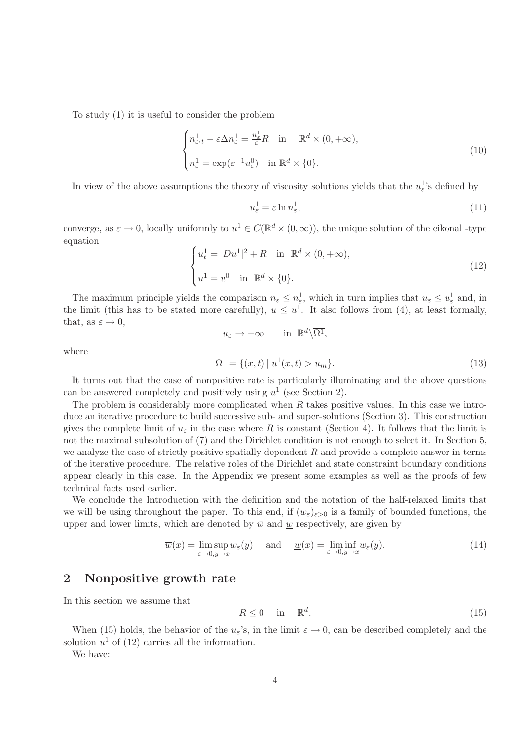To study (1) it is useful to consider the problem

$$
\begin{cases} n_{\varepsilon,t}^1 - \varepsilon \Delta n_{\varepsilon}^1 = \frac{n_{\varepsilon}^1}{\varepsilon} R & \text{in} \quad \mathbb{R}^d \times (0, +\infty), \\ n_{\varepsilon}^1 = \exp(\varepsilon^{-1} u_{\varepsilon}^0) & \text{in } \mathbb{R}^d \times \{0\}. \end{cases}
$$
 (10)

In view of the above assumptions the theory of viscosity solutions yields that the  $u_{\varepsilon}^{1}$ 's defined by

$$
u_{\varepsilon}^{1} = \varepsilon \ln n_{\varepsilon}^{1},\tag{11}
$$

converge, as  $\varepsilon \to 0$ , locally uniformly to  $u^1 \in C(\mathbb{R}^d \times (0,\infty))$ , the unique solution of the eikonal -type equation

$$
\begin{cases}\n u_t^1 = |Du^1|^2 + R & \text{in } \mathbb{R}^d \times (0, +\infty), \\
 u^1 = u^0 & \text{in } \mathbb{R}^d \times \{0\}.\n\end{cases}
$$
\n(12)

The maximum principle yields the comparison  $n_{\varepsilon} \leq n_{\varepsilon}^{1}$ , which in turn implies that  $u_{\varepsilon} \leq u_{\varepsilon}^{1}$  and, in the limit (this has to be stated more carefully),  $u \leq u^1$ . It also follows from (4), at least formally, that, as  $\varepsilon \to 0$ ,  $u_{\varepsilon} \to -\infty$  in  $\mathbb{R}^d \backslash \overline{\Omega^1}$ ,

where

$$
\Omega^1 = \{ (x, t) \mid u^1(x, t) > u_m \}.
$$
\n(13)

It turns out that the case of nonpositive rate is particularly illuminating and the above questions can be answered completely and positively using  $u^1$  (see Section 2).

The problem is considerably more complicated when  $R$  takes positive values. In this case we introduce an iterative procedure to build successive sub- and super-solutions (Section 3). This construction gives the complete limit of  $u_{\varepsilon}$  in the case where R is constant (Section 4). It follows that the limit is not the maximal subsolution of (7) and the Dirichlet condition is not enough to select it. In Section 5, we analyze the case of strictly positive spatially dependent  $R$  and provide a complete answer in terms of the iterative procedure. The relative roles of the Dirichlet and state constraint boundary conditions appear clearly in this case. In the Appendix we present some examples as well as the proofs of few technical facts used earlier.

We conclude the Introduction with the definition and the notation of the half-relaxed limits that we will be using throughout the paper. To this end, if  $(w_{\varepsilon})_{\varepsilon>0}$  is a family of bounded functions, the upper and lower limits, which are denoted by  $\bar{w}$  and  $\underline{w}$  respectively, are given by

$$
\overline{w}(x) = \limsup_{\varepsilon \to 0, y \to x} w_{\varepsilon}(y) \quad \text{and} \quad \underline{w}(x) = \liminf_{\varepsilon \to 0, y \to x} w_{\varepsilon}(y). \tag{14}
$$

#### 2 Nonpositive growth rate

In this section we assume that

$$
R \le 0 \quad \text{in} \quad \mathbb{R}^d. \tag{15}
$$

When (15) holds, the behavior of the  $u_{\varepsilon}$ 's, in the limit  $\varepsilon \to 0$ , can be described completely and the solution  $u^1$  of (12) carries all the information.

We have: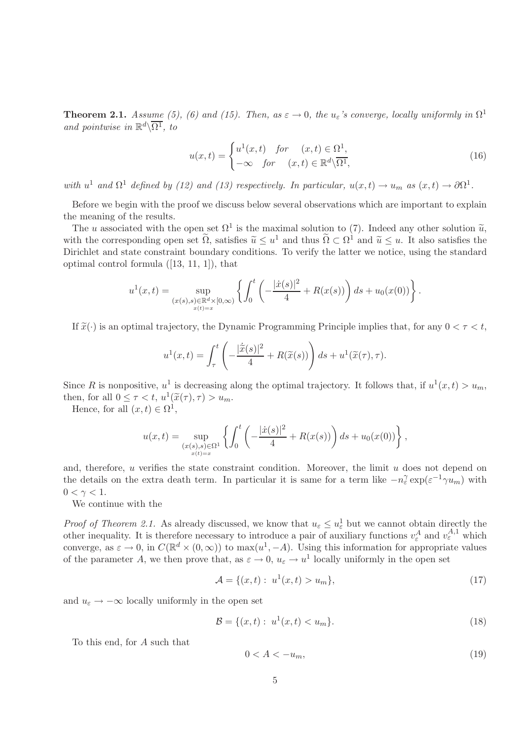**Theorem 2.1.** *Assume (5), (6) and (15). Then, as*  $\varepsilon \to 0$ *, the*  $u_{\varepsilon}$ *'s converge, locally uniformly in*  $\Omega^1$ *and pointwise in*  $\mathbb{R}^d \setminus \overline{\Omega^1}$ , to

$$
u(x,t) = \begin{cases} u^1(x,t) & \text{for } (x,t) \in \Omega^1, \\ -\infty & \text{for } (x,t) \in \mathbb{R}^d \backslash \overline{\Omega^1}, \end{cases}
$$
(16)

*with*  $u^1$  *and*  $\Omega^1$  *defined by (12) and (13) respectively. In particular,*  $u(x,t) \to u_m$  *as*  $(x,t) \to \partial \Omega^1$ .

Before we begin with the proof we discuss below several observations which are important to explain the meaning of the results.

The u associated with the open set  $\Omega^1$  is the maximal solution to (7). Indeed any other solution  $\tilde{u}$ , with the corresponding open set  $\tilde{\Omega}$ , satisfies  $\tilde{u} \leq u^1$  and thus  $\tilde{\Omega} \subset \Omega^1$  and  $\tilde{u} \leq u$ . It also satisfies the Dirichlet and state constraint boundary conditions. To verify the latter we notice, using the standard optimal control formula ([13, 11, 1]), that

$$
u^{1}(x,t) = \sup_{\substack{(x(s),s) \in \mathbb{R}^{d} \times [0,\infty) \\ x(t) = x}} \left\{ \int_{0}^{t} \left( -\frac{|\dot{x}(s)|^{2}}{4} + R(x(s)) \right) ds + u_{0}(x(0)) \right\}.
$$

If  $\tilde{x}(\cdot)$  is an optimal trajectory, the Dynamic Programming Principle implies that, for any  $0 < \tau < t$ ,

$$
u^{1}(x,t) = \int_{\tau}^{t} \left( -\frac{|\dot{\tilde{x}}(s)|^{2}}{4} + R(\tilde{x}(s)) \right) ds + u^{1}(\tilde{x}(\tau), \tau).
$$

Since R is nonpositive,  $u^1$  is decreasing along the optimal trajectory. It follows that, if  $u^1(x,t) > u_m$ , then, for all  $0 \leq \tau < t$ ,  $u^1(\tilde{x}(\tau), \tau) > u_m$ .

Hence, for all  $(x,t) \in \Omega^1$ ,

$$
u(x,t) = \sup_{\substack{(x(s),s)\in\Omega^1\\x(t)=x}} \left\{ \int_0^t \left( -\frac{|x(s)|^2}{4} + R(x(s)) \right) ds + u_0(x(0)) \right\},\,
$$

and, therefore,  $u$  verifies the state constraint condition. Moreover, the limit  $u$  does not depend on the details on the extra death term. In particular it is same for a term like  $-n_\varepsilon^{\gamma} \exp(\varepsilon^{-1} \gamma u_m)$  with  $0 < \gamma < 1$ .

We continue with the

*Proof of Theorem 2.1.* As already discussed, we know that  $u_{\varepsilon} \leq u_{\varepsilon}^1$  but we cannot obtain directly the other inequality. It is therefore necessary to introduce a pair of auxiliary functions  $v_{\varepsilon}^A$  and  $v_{\varepsilon}^{A,1}$  which converge, as  $\varepsilon \to 0$ , in  $C(\mathbb{R}^d \times (0,\infty))$  to  $\max(u^1,-A)$ . Using this information for appropriate values of the parameter A, we then prove that, as  $\varepsilon \to 0$ ,  $u_{\varepsilon} \to u^1$  locally uniformly in the open set

$$
\mathcal{A} = \{ (x, t) : \ u^1(x, t) > u_m \},\tag{17}
$$

and  $u_{\varepsilon} \to -\infty$  locally uniformly in the open set

$$
\mathcal{B} = \{ (x, t) : u^1(x, t) < u_m \}. \tag{18}
$$

To this end, for A such that

$$
0 < A < -u_m,\tag{19}
$$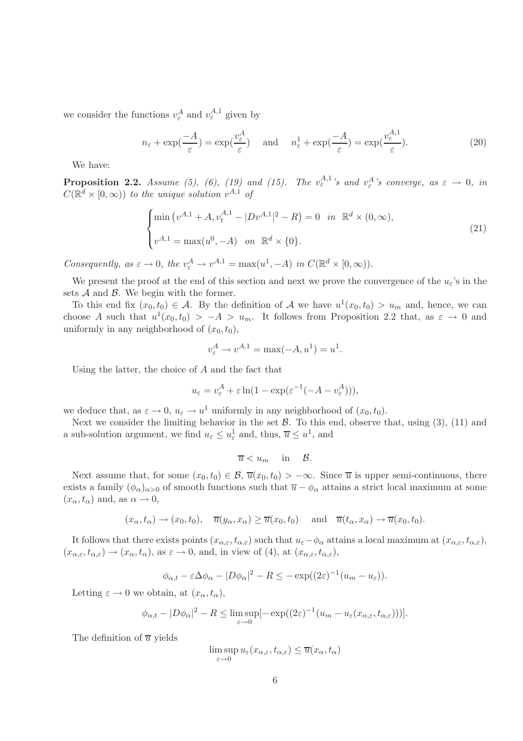we consider the functions  $v_{\varepsilon}^A$  and  $v_{\varepsilon}^{A,1}$  given by

$$
n_{\varepsilon} + \exp(\frac{-A}{\varepsilon}) = \exp(\frac{v_{\varepsilon}^{A}}{\varepsilon}) \quad \text{and} \quad n_{\varepsilon}^{1} + \exp(\frac{-A}{\varepsilon}) = \exp(\frac{v_{\varepsilon}^{A,1}}{\varepsilon}). \tag{20}
$$

We have:

**Proposition 2.2.** *Assume (5), (6), (19) and (15). The*  $v_{\varepsilon}^{A,1}$ 's and  $v_{\varepsilon}^{A}$ 's converge, as  $\varepsilon \to 0$ , in  $C(\mathbb{R}^d\times[0,\infty))$  *to the unique solution*  $v^{A,1}$  *of* 

$$
\begin{cases}\n\min (v^{A,1} + A, v_t^{A,1} - |Dv^{A,1}|^2 - R) = 0 & \text{in } \mathbb{R}^d \times (0, \infty), \\
v^{A,1} = \max (u^0, -A) & \text{on } \mathbb{R}^d \times \{0\}.\n\end{cases}
$$
\n(21)

*Consequently, as*  $\varepsilon \to 0$ *, the*  $v_{\varepsilon}^A \to v^{A,1} = \max(u^1, -A)$  *in*  $C(\mathbb{R}^d \times [0, \infty))$ *.* 

We present the proof at the end of this section and next we prove the convergence of the  $u_{\varepsilon}$ 's in the sets  $A$  and  $B$ . We begin with the former.

To this end fix  $(x_0, t_0) \in \mathcal{A}$ . By the definition of  $\mathcal{A}$  we have  $u^1(x_0, t_0) > u_m$  and, hence, we can choose A such that  $u^1(x_0,t_0) > -A > u_m$ . It follows from Proposition 2.2 that, as  $\varepsilon \to 0$  and uniformly in any neighborhood of  $(x_0, t_0)$ ,

$$
v_{\varepsilon}^A \to v^{A,1} = \max(-A, u^1) = u^1.
$$

Using the latter, the choice of A and the fact that

$$
u_{\varepsilon} = v_{\varepsilon}^A + \varepsilon \ln(1 - \exp(\varepsilon^{-1}(-A - v_{\varepsilon}^A))),
$$

we deduce that, as  $\varepsilon \to 0$ ,  $u_{\varepsilon} \to u^1$  uniformly in any neighborhood of  $(x_0, t_0)$ .

Next we consider the limiting behavior in the set  $\mathcal{B}$ . To this end, observe that, using (3), (11) and a sub-solution argument, we find  $u_{\varepsilon} \le u_{\varepsilon}^1$  and, thus,  $\overline{u} \le u^1$ , and

$$
\overline{u} < u_m \quad \text{in} \quad \mathcal{B}.
$$

Next assume that, for some  $(x_0, t_0) \in \mathcal{B}$ ,  $\overline{u}(x_0, t_0) > -\infty$ . Since  $\overline{u}$  is upper semi-continuous, there exists a family  $(\phi_{\alpha})_{\alpha>0}$  of smooth functions such that  $\overline{u} - \phi_{\alpha}$  attains a strict local maximum at some  $(x_{\alpha},t_{\alpha})$  and, as  $\alpha\rightarrow 0$ ,

$$
(x_{\alpha}, t_{\alpha}) \to (x_0, t_0), \quad \overline{u}(y_{\alpha}, x_{\alpha}) \ge \overline{u}(x_0, t_0) \quad \text{and} \quad \overline{u}(t_{\alpha}, x_{\alpha}) \to \overline{u}(x_0, t_0).
$$

It follows that there exists points  $(x_{\alpha,\varepsilon},t_{\alpha,\varepsilon})$  such that  $u_{\varepsilon}-\phi_{\alpha}$  attains a local maximum at  $(x_{\alpha,\varepsilon},t_{\alpha,\varepsilon})$ ,  $(x_{\alpha,\varepsilon},t_{\alpha,\varepsilon})\to (x_\alpha,t_\alpha)$ , as  $\varepsilon\to 0$ , and, in view of (4), at  $(x_{\alpha,\varepsilon},t_{\alpha,\varepsilon})$ ,

$$
\phi_{\alpha,t} - \varepsilon \Delta \phi_\alpha - |D\phi_\alpha|^2 - R \leq -\exp((2\varepsilon)^{-1}(u_m - u_\varepsilon)).
$$

Letting  $\varepsilon \to 0$  we obtain, at  $(x_\alpha, t_\alpha)$ ,

$$
\phi_{\alpha,t} - |D\phi_{\alpha}|^2 - R \le \limsup_{\varepsilon \to 0} \left[ -\exp((2\varepsilon)^{-1}(u_m - u_\varepsilon(x_{\alpha,\varepsilon}, t_{\alpha,\varepsilon}))) \right].
$$

The definition of  $\overline{u}$  yields

$$
\limsup_{\varepsilon \to 0} u_{\varepsilon}(x_{\alpha,\varepsilon}, t_{\alpha,\varepsilon}) \le \overline{u}(x_{\alpha}, t_{\alpha})
$$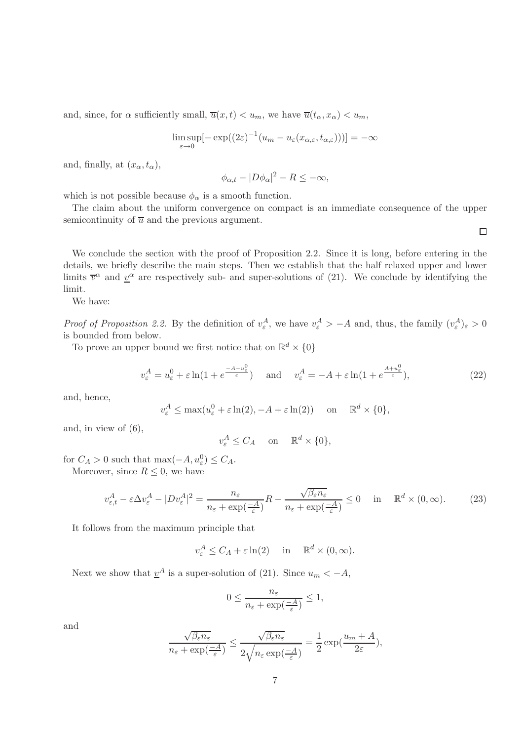and, since, for  $\alpha$  sufficiently small,  $\overline{u}(x,t) < u_m$ , we have  $\overline{u}(t_\alpha,x_\alpha) < u_m$ ,

$$
\limsup_{\varepsilon \to 0} \left[ -\exp((2\varepsilon)^{-1} (u_m - u_\varepsilon(x_{\alpha,\varepsilon}, t_{\alpha,\varepsilon}))) \right] = -\infty
$$

and, finally, at  $(x_{\alpha},t_{\alpha})$ ,

$$
\phi_{\alpha,t} - |D\phi_{\alpha}|^2 - R \leq -\infty,
$$

which is not possible because  $\phi_{\alpha}$  is a smooth function.

The claim about the uniform convergence on compact is an immediate consequence of the upper semicontinuity of  $\overline{u}$  and the previous argument.

We conclude the section with the proof of Proposition 2.2. Since it is long, before entering in the details, we briefly describe the main steps. Then we establish that the half relaxed upper and lower limits  $\overline{v}^{\alpha}$  and  $\underline{v}^{\alpha}$  are respectively sub- and super-solutions of (21). We conclude by identifying the limit.

We have:

*Proof of Proposition 2.2.* By the definition of  $v_{\varepsilon}^A$ , we have  $v_{\varepsilon}^A > -A$  and, thus, the family  $(v_{\varepsilon}^A)_{\varepsilon} > 0$ is bounded from below.

To prove an upper bound we first notice that on  $\mathbb{R}^d \times \{0\}$ 

$$
v_{\varepsilon}^{A} = u_{\varepsilon}^{0} + \varepsilon \ln(1 + e^{\frac{-A - u_{\varepsilon}^{0}}{\varepsilon}}) \quad \text{and} \quad v_{\varepsilon}^{A} = -A + \varepsilon \ln(1 + e^{\frac{A + u_{\varepsilon}^{0}}{\varepsilon}}), \tag{22}
$$

and, hence,

$$
v_{\varepsilon}^A \le \max(u_{\varepsilon}^0 + \varepsilon \ln(2), -A + \varepsilon \ln(2))
$$
 on  $\mathbb{R}^d \times \{0\},$ 

and, in view of (6),

$$
v_{\varepsilon}^A \le C_A \quad \text{on} \quad \mathbb{R}^d \times \{0\},
$$

for  $C_A > 0$  such that  $\max(-A, u_\varepsilon^0) \le C_A$ .

Moreover, since 
$$
R \leq 0
$$
, we have

$$
v_{\varepsilon,t}^A - \varepsilon \Delta v_{\varepsilon}^A - |D v_{\varepsilon}^A|^2 = \frac{n_{\varepsilon}}{n_{\varepsilon} + \exp(\frac{-A}{\varepsilon})} R - \frac{\sqrt{\beta_{\varepsilon} n_{\varepsilon}}}{n_{\varepsilon} + \exp(\frac{-A}{\varepsilon})} \le 0 \quad \text{in} \quad \mathbb{R}^d \times (0, \infty). \tag{23}
$$

It follows from the maximum principle that

$$
v_{\varepsilon}^A \le C_A + \varepsilon \ln(2)
$$
 in  $\mathbb{R}^d \times (0, \infty)$ .

Next we show that  $\underline{v}^A$  is a super-solution of (21). Since  $u_m < -A$ ,

$$
0 \le \frac{n_{\varepsilon}}{n_{\varepsilon} + \exp(\frac{-A}{\varepsilon})} \le 1,
$$

and

$$
\frac{\sqrt{\beta_\varepsilon n_\varepsilon}}{n_\varepsilon+\exp(\frac{-A}{\varepsilon})}\leq \frac{\sqrt{\beta_\varepsilon n_\varepsilon}}{2\sqrt{n_\varepsilon\exp(\frac{-A}{\varepsilon})}}=\frac{1}{2}\exp(\frac{u_m+A}{2\varepsilon}),
$$

 $\Box$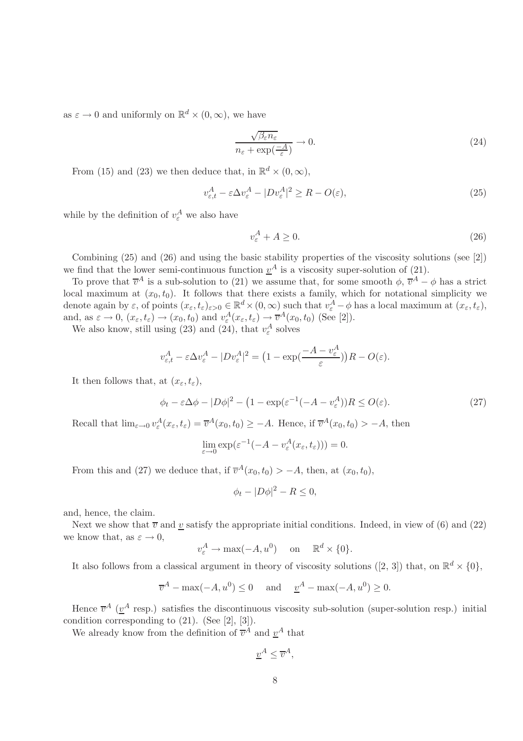as  $\varepsilon \to 0$  and uniformly on  $\mathbb{R}^d \times (0, \infty)$ , we have

$$
\frac{\sqrt{\beta_{\varepsilon} n_{\varepsilon}}}{n_{\varepsilon} + \exp(\frac{-A}{\varepsilon})} \to 0. \tag{24}
$$

From (15) and (23) we then deduce that, in  $\mathbb{R}^d \times (0, \infty)$ ,

$$
v_{\varepsilon,t}^A - \varepsilon \Delta v_{\varepsilon}^A - |D v_{\varepsilon}^A|^2 \ge R - O(\varepsilon),\tag{25}
$$

while by the definition of  $v_{\varepsilon}^A$  we also have

$$
v_{\varepsilon}^A + A \ge 0. \tag{26}
$$

Combining (25) and (26) and using the basic stability properties of the viscosity solutions (see [2]) we find that the lower semi-continuous function  $\underline{v}^A$  is a viscosity super-solution of (21).

To prove that  $\overline{v}^A$  is a sub-solution to (21) we assume that, for some smooth  $\phi$ ,  $\overline{v}^A - \phi$  has a strict local maximum at  $(x_0, t_0)$ . It follows that there exists a family, which for notational simplicity we denote again by  $\varepsilon$ , of points  $(x_{\varepsilon}, t_{\varepsilon})_{\varepsilon > 0} \in \mathbb{R}^d \times (0, \infty)$  such that  $v_{\varepsilon}^A - \phi$  has a local maximum at  $(x_{\varepsilon}, t_{\varepsilon})$ , and, as  $\varepsilon \to 0$ ,  $(x_{\varepsilon}, t_{\varepsilon}) \to (x_0, t_0)$  and  $v_{\varepsilon}^A(x_{\varepsilon}, t_{\varepsilon}) \to \overline{v}^A(x_0, t_0)$  (See [2]).

We also know, still using (23) and (24), that  $v_{\varepsilon}^A$  solves

$$
v_{\varepsilon,t}^A - \varepsilon \Delta v_{\varepsilon}^A - |D v_{\varepsilon}^A|^2 = \left(1 - \exp\left(\frac{-A - v_{\varepsilon}^A}{\varepsilon}\right)\right)R - O(\varepsilon).
$$

It then follows that, at  $(x_{\varepsilon},t_{\varepsilon})$ ,

$$
\phi_t - \varepsilon \Delta \phi - |D\phi|^2 - \left(1 - \exp(\varepsilon^{-1}(-A - v_\varepsilon^A))R \le O(\varepsilon)\right). \tag{27}
$$

Recall that  $\lim_{\varepsilon \to 0} v_{\varepsilon}^A(x_{\varepsilon}, t_{\varepsilon}) = \overline{v}^A(x_0, t_0) \geq -A$ . Hence, if  $\overline{v}^A(x_0, t_0) > -A$ , then

$$
\lim_{\varepsilon \to 0} \exp(\varepsilon^{-1}(-A - v_{\varepsilon}^A(x_{\varepsilon}, t_{\varepsilon}))) = 0.
$$

From this and (27) we deduce that, if  $\overline{v}^A(x_0, t_0) > -A$ , then, at  $(x_0, t_0)$ ,

 $\phi_t - |D\phi|^2 - R \leq 0,$ 

and, hence, the claim.

Next we show that  $\overline{v}$  and v satisfy the appropriate initial conditions. Indeed, in view of (6) and (22) we know that, as  $\varepsilon \to 0$ ,

$$
v_{\varepsilon}^A \to \max(-A, u^0)
$$
 on  $\mathbb{R}^d \times \{0\}.$ 

It also follows from a classical argument in theory of viscosity solutions ([2, 3]) that, on  $\mathbb{R}^d \times \{0\}$ ,

$$
\overline{v}^A - \max(-A, u^0) \le 0
$$
 and  $\underline{v}^A - \max(-A, u^0) \ge 0$ .

Hence  $\bar{v}^A$  ( $\underline{v}^A$  resp.) satisfies the discontinuous viscosity sub-solution (super-solution resp.) initial condition corresponding to (21). (See [2], [3]).

We already know from the definition of  $\overline{v}^A$  and  $\underline{v}^A$  that

$$
\underline{v}^A \le \overline{v}^A,
$$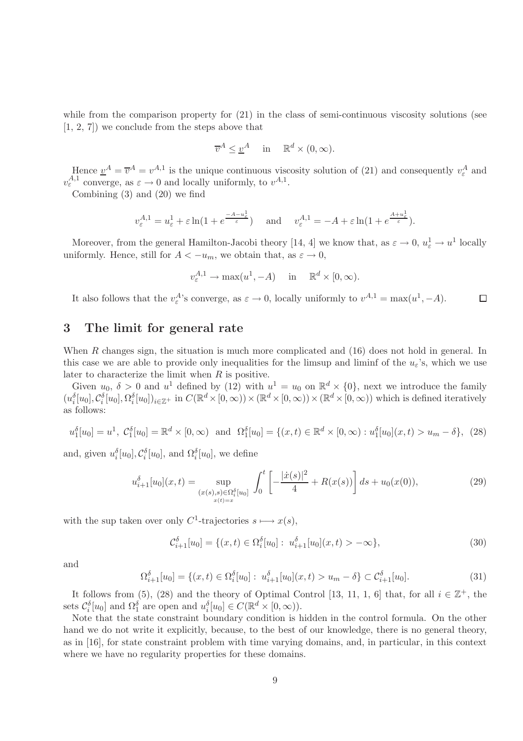while from the comparison property for  $(21)$  in the class of semi-continuous viscosity solutions (see [1, 2, 7]) we conclude from the steps above that

$$
\overline{v}^A \leq \underline{v}^A \quad \text{in} \quad \mathbb{R}^d \times (0, \infty).
$$

Hence  $\underline{v}^A = \overline{v}^A = v^{A,1}$  is the unique continuous viscosity solution of (21) and consequently  $v_{\varepsilon}^A$  and  $v_{\varepsilon}^{A,1}$  converge, as  $\varepsilon \to 0$  and locally uniformly, to  $v^{A,1}$ .

Combining (3) and (20) we find

$$
v_{\varepsilon}^{A,1} = u_{\varepsilon}^1 + \varepsilon \ln(1 + e^{\frac{-A - u_{\varepsilon}^1}{\varepsilon}})
$$
 and  $v_{\varepsilon}^{A,1} = -A + \varepsilon \ln(1 + e^{\frac{A + u_{\varepsilon}^1}{\varepsilon}}).$ 

Moreover, from the general Hamilton-Jacobi theory [14, 4] we know that, as  $\varepsilon \to 0$ ,  $u_{\varepsilon}^1 \to u^1$  locally uniformly. Hence, still for  $A < -u_m$ , we obtain that, as  $\varepsilon \to 0$ ,

$$
v_{\varepsilon}^{A,1} \to \max(u^1, -A)
$$
 in  $\mathbb{R}^d \times [0, \infty)$ .

It also follows that the  $v_{\varepsilon}^{A}$ 's converge, as  $\varepsilon \to 0$ , locally uniformly to  $v^{A,1} = \max(u^1, -A)$ .  $\Box$ 

#### 3 The limit for general rate

When R changes sign, the situation is much more complicated and  $(16)$  does not hold in general. In this case we are able to provide only inequalities for the limsup and liminf of the  $u<sub>\epsilon</sub>$ 's, which we use later to characterize the limit when  $R$  is positive.

Given  $u_0$ ,  $\delta > 0$  and  $u^1$  defined by (12) with  $u^1 = u_0$  on  $\mathbb{R}^d \times \{0\}$ , next we introduce the family  $(u_i^{\delta}[u_0], \mathcal{C}_i^{\delta}[u_0], \Omega_i^{\delta}[u_0])_{i \in \mathbb{Z}^+}$  in  $C(\mathbb{R}^d \times [0, \infty)) \times (\mathbb{R}^d \times [0, \infty)) \times (\mathbb{R}^d \times [0, \infty))$  which is defined iteratively as follows:

$$
u_1^{\delta}[u_0] = u^1, \ C_1^{\delta}[u_0] = \mathbb{R}^d \times [0, \infty) \text{ and } \Omega_1^{\delta}[u_0] = \{(x, t) \in \mathbb{R}^d \times [0, \infty) : u_1^{\delta}[u_0](x, t) > u_m - \delta\}, \tag{28}
$$

and, given  $u_i^{\delta}[u_0], \mathcal{C}_i^{\delta}[u_0]$ , and  $\Omega_i^{\delta}[u_0]$ , we define

$$
u_{i+1}^{\delta}[u_0](x,t) = \sup_{\substack{(x(s),s) \in \Omega_i^{\delta}[u_0] \\ x(t) = x}} \int_0^t \left[ -\frac{|\dot{x}(s)|^2}{4} + R(x(s)) \right] ds + u_0(x(0)),\tag{29}
$$

with the sup taken over only  $C^1$ -trajectories  $s \longmapsto x(s)$ ,

$$
\mathcal{C}_{i+1}^{\delta}[u_0] = \{(x,t) \in \Omega_i^{\delta}[u_0] : u_{i+1}^{\delta}[u_0](x,t) > -\infty\},\tag{30}
$$

and

$$
\Omega_{i+1}^{\delta}[u_0] = \{(x,t) \in \Omega_i^{\delta}[u_0] : u_{i+1}^{\delta}[u_0](x,t) > u_m - \delta\} \subset \mathcal{C}_{i+1}^{\delta}[u_0].\tag{31}
$$

It follows from (5), (28) and the theory of Optimal Control [13, 11, 1, 6] that, for all  $i \in \mathbb{Z}^+$ , the sets  $\mathcal{C}_i^{\delta}[u_0]$  and  $\Omega_1^{\delta}$  are open and  $u_i^{\delta}[u_0] \in C(\mathbb{R}^d \times [0,\infty))$ .

Note that the state constraint boundary condition is hidden in the control formula. On the other hand we do not write it explicitly, because, to the best of our knowledge, there is no general theory, as in [16], for state constraint problem with time varying domains, and, in particular, in this context where we have no regularity properties for these domains.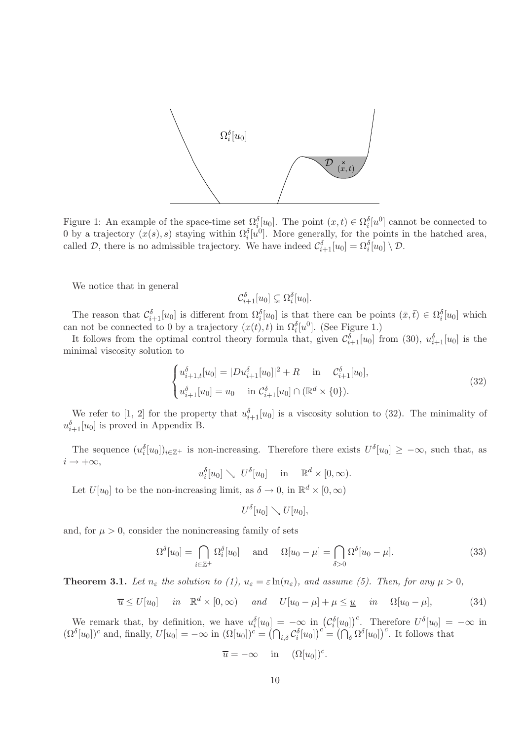

Figure 1: An example of the space-time set  $\Omega_i^{\delta}[u_0]$ . The point  $(x,t) \in \Omega_i^{\delta}[u^0]$  cannot be connected to 0 by a trajectory  $(x(s), s)$  staying within  $\Omega_i^{\delta}[u^0]$ . More generally, for the points in the hatched area, called  $\mathcal{D}$ , there is no admissible trajectory. We have indeed  $\mathcal{C}_{i+1}^{\delta}[u_0] = \Omega_i^{\delta}[u_0] \setminus \mathcal{D}$ .

We notice that in general

$$
\mathcal{C}_{i+1}^{\delta}[u_0] \subsetneq \Omega_i^{\delta}[u_0].
$$

The reason that  $\mathcal{C}_{i+1}^{\delta}[u_0]$  is different from  $\Omega_i^{\delta}[u_0]$  is that there can be points  $(\bar{x}, \bar{t}) \in \Omega_i^{\delta}[u_0]$  which can not be connected to 0 by a trajectory  $(x(t), t)$  in  $\Omega_i^{\delta}[u^0]$ . (See Figure 1.)

It follows from the optimal control theory formula that, given  $\mathcal{C}_{i+1}^{\delta}[u_0]$  from (30),  $u_{i+1}^{\delta}[u_0]$  is the minimal viscosity solution to

$$
\begin{cases} u_{i+1,t}^{\delta}[u_0] = |Du_{i+1}^{\delta}[u_0]|^2 + R & \text{in } \mathcal{C}_{i+1}^{\delta}[u_0],\\ u_{i+1}^{\delta}[u_0] = u_0 & \text{in } \mathcal{C}_{i+1}^{\delta}[u_0] \cap (\mathbb{R}^d \times \{0\}). \end{cases}
$$
(32)

We refer to [1, 2] for the property that  $u_{i+1}^{\delta}[u_0]$  is a viscosity solution to (32). The minimality of  $u_{i+1}^{\delta}[u_0]$  is proved in Appendix B.

The sequence  $(u_i^{\delta}[u_0])_{i\in\mathbb{Z}^+}$  is non-increasing. Therefore there exists  $U^{\delta}[u_0] \geq -\infty$ , such that, as  $i \rightarrow +\infty$ ,

 $u_i^{\delta}[u_0] \searrow U^{\delta}[u_0]$  in  $\mathbb{R}^d \times [0, \infty)$ .

Let  $U[u_0]$  to be the non-increasing limit, as  $\delta \to 0$ , in  $\mathbb{R}^d \times [0, \infty)$ 

 $U^{\delta}[u_0] \searrow U[u_0],$ 

and, for  $\mu > 0$ , consider the nonincreasing family of sets

$$
\Omega^{\delta}[u_0] = \bigcap_{i \in \mathbb{Z}^+} \Omega_i^{\delta}[u_0] \quad \text{and} \quad \Omega[u_0 - \mu] = \bigcap_{\delta > 0} \Omega^{\delta}[u_0 - \mu]. \tag{33}
$$

.

**Theorem 3.1.** Let  $n_{\varepsilon}$  the solution to (1),  $u_{\varepsilon} = \varepsilon \ln(n_{\varepsilon})$ , and assume (5). Then, for any  $\mu > 0$ ,

$$
\overline{u} \le U[u_0] \quad in \quad \mathbb{R}^d \times [0, \infty) \quad and \quad U[u_0 - \mu] + \mu \le \underline{u} \quad in \quad \Omega[u_0 - \mu], \tag{34}
$$

We remark that, by definition, we have  $u_i^{\delta}[u_0] = -\infty$  in  $(C_i^{\delta}[u_0])^c$ . Therefore  $U^{\delta}[u_0] = -\infty$  in  $(\Omega^{\delta}[u_0])^c$  and, finally,  $U[u_0] = -\infty$  in  $(\Omega[u_0])^c = (\bigcap_{i,\delta} C_i^{\delta}[u_0])^c = (\bigcap_{\delta} \Omega^{\delta}[u_0])^c$ . It follows that

$$
\overline{u} = -\infty
$$
 in  $(\Omega[u_0])^c$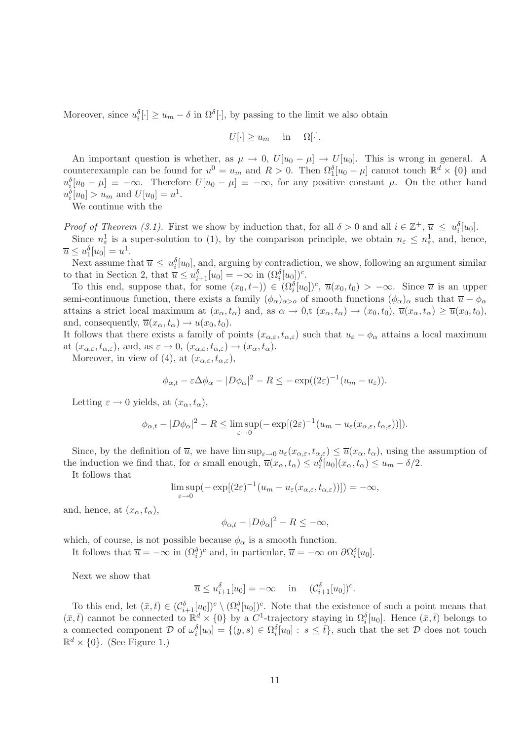Moreover, since  $u_i^{\delta}[\cdot] \ge u_m - \delta$  in  $\Omega^{\delta}[\cdot]$ , by passing to the limit we also obtain

$$
U[\cdot] \ge u_m \quad \text{in} \quad \Omega[\cdot].
$$

An important question is whether, as  $\mu \to 0$ ,  $U[u_0 - \mu] \to U[u_0]$ . This is wrong in general. A counterexample can be found for  $u^0 = u_m$  and  $R > 0$ . Then  $\Omega_1^{\delta}[u_0 - \mu]$  cannot touch  $\mathbb{R}^d \times \{0\}$  and  $u_j^{\delta}[u_0 - \mu] \equiv -\infty$ . Therefore  $U[u_0 - \mu] \equiv -\infty$ , for any positive constant  $\mu$ . On the other hand  $u_i^{\delta}[u_0] > u_m$  and  $U[u_0] = u^1$ .

We continue with the

*Proof of Theorem (3.1).* First we show by induction that, for all  $\delta > 0$  and all  $i \in \mathbb{Z}^+, \overline{u} \leq u_i^{\delta}[u_0].$ Since  $n_{\varepsilon}^1$  is a super-solution to (1), by the comparison principle, we obtain  $n_{\varepsilon} \leq n_{\varepsilon}^1$ , and, hence,  $\overline{u} \leq u_1^{\delta}[u_0] = u^1.$ 

Next assume that  $\overline{u} \leq u_i^{\delta}[u_0]$ , and, arguing by contradiction, we show, following an argument similar to that in Section 2, that  $\overline{u} \leq u_{i+1}^{\delta}[u_0] = -\infty$  in  $(\Omega_i^{\delta}[u_0])^c$ .

To this end, suppose that, for some  $(x_0, t-)) \in (\Omega_i^{\delta}[u_0])^c$ ,  $\overline{u}(x_0, t_0) > -\infty$ . Since  $\overline{u}$  is an upper semi-continuous function, there exists a family  $(\phi_{\alpha})_{\alpha>o}$  of smooth functions  $(\phi_{\alpha})_{\alpha}$  such that  $\overline{u} - \phi_{\alpha}$ attains a strict local maximum at  $(x_{\alpha},t_{\alpha})$  and, as  $\alpha \to 0$ ,  $(x_{\alpha},t_{\alpha}) \to (x_0,t_0)$ ,  $\overline{u}(x_{\alpha},t_{\alpha}) \geq \overline{u}(x_0,t_0)$ , and, consequently,  $\overline{u}(x_{\alpha},t_{\alpha}) \rightarrow u(x_0,t_0)$ .

It follows that there exists a family of points  $(x_{\alpha,\varepsilon},t_{\alpha,\varepsilon})$  such that  $u_{\varepsilon}-\phi_{\alpha}$  attains a local maximum at  $(x_{\alpha,\varepsilon},t_{\alpha,\varepsilon})$ , and, as  $\varepsilon\to 0$ ,  $(x_{\alpha,\varepsilon},t_{\alpha,\varepsilon})\to (x_{\alpha},t_{\alpha})$ .

Moreover, in view of (4), at  $(x_{\alpha,\varepsilon},t_{\alpha,\varepsilon})$ ,

$$
\phi_{\alpha,t} - \varepsilon \Delta \phi_\alpha - |D\phi_\alpha|^2 - R \leq -\exp((2\varepsilon)^{-1}(u_m - u_\varepsilon)).
$$

Letting  $\varepsilon \to 0$  yields, at  $(x_{\alpha}, t_{\alpha})$ ,

$$
\phi_{\alpha,t} - |D\phi_{\alpha}|^2 - R \le \limsup_{\varepsilon \to 0} \left( -\exp[(2\varepsilon)^{-1}(u_m - u_\varepsilon(x_{\alpha,\varepsilon}, t_{\alpha,\varepsilon}))] \right).
$$

Since, by the definition of  $\overline{u}$ , we have  $\limsup_{\varepsilon\to 0} u_{\varepsilon}(x_{\alpha,\varepsilon},t_{\alpha,\varepsilon}) \leq \overline{u}(x_{\alpha},t_{\alpha})$ , using the assumption of the induction we find that, for  $\alpha$  small enough,  $\overline{u}(x_{\alpha}, t_{\alpha}) \leq u_i^{\delta}[u_0](x_{\alpha}, t_{\alpha}) \leq u_m - \delta/2$ .

It follows that

$$
\limsup_{\varepsilon \to 0} \left( -\exp[(2\varepsilon)^{-1} (u_m - u_\varepsilon(x_{\alpha,\varepsilon}, t_{\alpha,\varepsilon}))] \right) = -\infty,
$$

and, hence, at  $(x_{\alpha},t_{\alpha})$ ,

$$
\phi_{\alpha,t} - |D\phi_{\alpha}|^2 - R \leq -\infty,
$$

which, of course, is not possible because  $\phi_{\alpha}$  is a smooth function.

It follows that  $\overline{u} = -\infty$  in  $(\Omega_i^{\delta})^c$  and, in particular,  $\overline{u} = -\infty$  on  $\partial \Omega_i^{\delta}[u_0]$ .

Next we show that

$$
\overline{u} \le u_{i+1}^{\delta}[u_0] = -\infty \quad \text{in} \quad (\mathcal{C}_{i+1}^{\delta}[u_0])^c.
$$

To this end, let  $(\bar{x}, \bar{t}) \in (\mathcal{C}_{i+1}^{\delta}[u_0])^c \setminus (\Omega_i^{\delta}[u_0])^c$ . Note that the existence of such a point means that  $(\bar{x}, \bar{t})$  cannot be connected to  $\mathbb{R}^d \times \{0\}$  by a  $C^1$ -trajectory staying in  $\Omega_i^{\delta}[u_0]$ . Hence  $(\bar{x}, \bar{t})$  belongs to a connected component  $\mathcal{D}$  of  $\omega_i^{\delta}[u_0] = \{(y, s) \in \Omega_i^{\delta}[u_0] : s \leq \overline{t}\}$ , such that the set  $\mathcal{D}$  does not touch  $\mathbb{R}^d \times \{0\}$ . (See Figure 1.)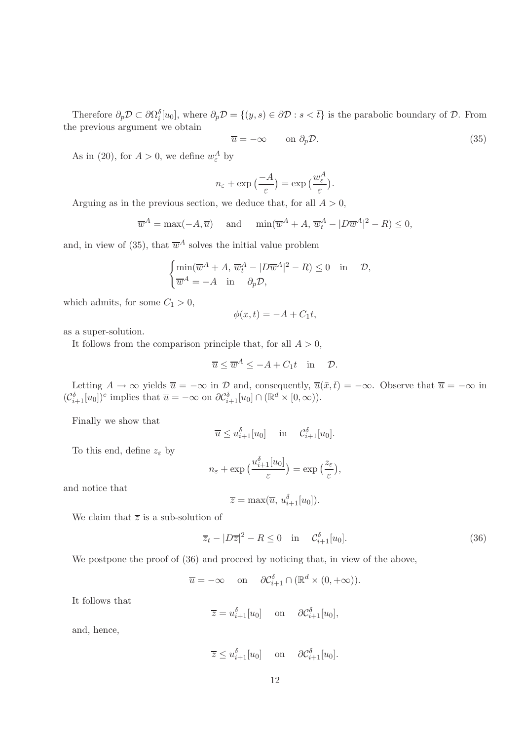Therefore  $\partial_p \mathcal{D} \subset \partial \Omega_i^{\delta}[u_0]$ , where  $\partial_p \mathcal{D} = \{(y, s) \in \partial \mathcal{D} : s < \overline{t}\}\$ is the parabolic boundary of  $\mathcal{D}$ . From the previous argument we obtain

$$
\overline{u} = -\infty \qquad \text{on } \partial_p \mathcal{D}.
$$
 (35)

As in (20), for  $A > 0$ , we define  $w_{\varepsilon}^A$  by

$$
n_{\varepsilon} + \exp\left(\frac{-A}{\varepsilon}\right) = \exp\left(\frac{w_{\varepsilon}^A}{\varepsilon}\right).
$$

Arguing as in the previous section, we deduce that, for all  $A > 0$ ,

$$
\overline{w}^A = \max(-A, \overline{u})
$$
 and  $\min(\overline{w}^A + A, \overline{w}_t^A - |D\overline{w}^A|^2 - R) \le 0$ ,

and, in view of (35), that  $\overline{w}^A$  solves the initial value problem

$$
\begin{cases} \min(\overline{w}^A + A, \, \overline{w}_t^A - |D\overline{w}^A|^2 - R) \le 0 & \text{in} \quad \mathcal{D}, \\ \overline{w}^A = -A \quad \text{in} \quad \partial_p \mathcal{D}, \end{cases}
$$

which admits, for some  $C_1 > 0$ ,

$$
\phi(x,t) = -A + C_1 t,
$$

as a super-solution.

It follows from the comparison principle that, for all  $A > 0$ ,

$$
\overline{u} \le \overline{w}^A \le -A + C_1 t \quad \text{in} \quad \mathcal{D}.
$$

Letting  $A \to \infty$  yields  $\overline{u} = -\infty$  in  $\mathcal{D}$  and, consequently,  $\overline{u}(\overline{x}, \overline{t}) = -\infty$ . Observe that  $\overline{u} = -\infty$  in  $(C_{i+1}^{\delta}[u_0])^c$  implies that  $\overline{u} = -\infty$  on  $\partial C_{i+1}^{\delta}[u_0] \cap (\mathbb{R}^d \times [0, \infty)).$ 

Finally we show that

$$
\overline{u} \le u_{i+1}^{\delta}[u_0] \quad \text{in} \quad \mathcal{C}_{i+1}^{\delta}[u_0].
$$

To this end, define  $z_{\varepsilon}$  by

$$
n_{\varepsilon} + \exp\left(\frac{u_{i+1}^{\delta}[u_0]}{\varepsilon}\right) = \exp\left(\frac{z_{\varepsilon}}{\varepsilon}\right),
$$

and notice that

$$
\overline{z} = \max(\overline{u}, u_{i+1}^{\delta}[u_0]).
$$

We claim that  $\overline{z}$  is a sub-solution of

$$
\overline{z}_t - |D\overline{z}|^2 - R \le 0 \quad \text{in} \quad \mathcal{C}_{i+1}^{\delta}[u_0]. \tag{36}
$$

We postpone the proof of  $(36)$  and proceed by noticing that, in view of the above,

$$
\overline{u} = -\infty
$$
 on  $\partial C_{i+1}^{\delta} \cap (\mathbb{R}^d \times (0, +\infty)).$ 

It follows that

$$
\overline{z} = u_{i+1}^{\delta}[u_0] \quad \text{on} \quad \partial \mathcal{C}_{i+1}^{\delta}[u_0],
$$

and, hence,

$$
\overline{z} \le u_{i+1}^{\delta}[u_0] \quad \text{on} \quad \partial \mathcal{C}_{i+1}^{\delta}[u_0].
$$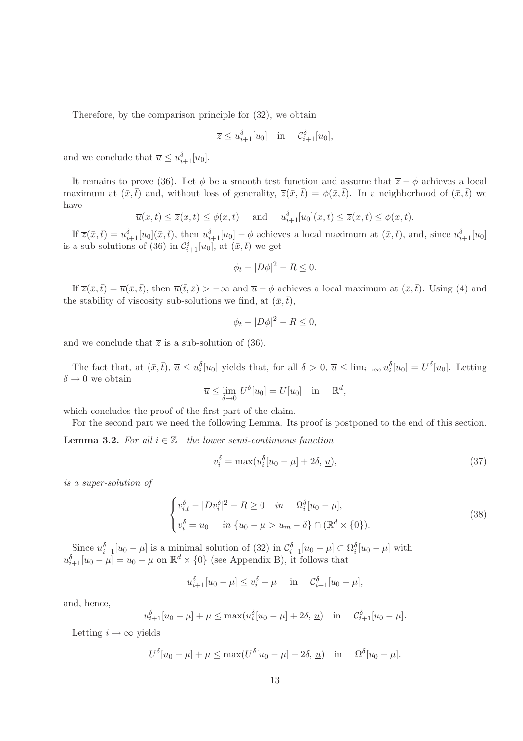Therefore, by the comparison principle for (32), we obtain

$$
\overline{z} \le u_{i+1}^{\delta}[u_0] \quad \text{in} \quad \mathcal{C}_{i+1}^{\delta}[u_0],
$$

and we conclude that  $\overline{u} \leq u_{i+1}^{\delta}[u_0]$ .

It remains to prove (36). Let  $\phi$  be a smooth test function and assume that  $\overline{z} - \phi$  achieves a local maximum at  $(\bar{x},\bar{t})$  and, without loss of generality,  $\bar{z}(\bar{x},\bar{t}) = \phi(\bar{x},\bar{t})$ . In a neighborhood of  $(\bar{x},\bar{t})$  we have

$$
\overline{u}(x,t) \le \overline{z}(x,t) \le \phi(x,t)
$$
 and  $u_{i+1}^{\delta}[u_0](x,t) \le \overline{z}(x,t) \le \phi(x,t)$ .

If  $\overline{z}(\bar{x}, \bar{t}) = u_{i+1}^{\delta}[u_0](\bar{x}, \bar{t})$ , then  $u_{i+1}^{\delta}[u_0] - \phi$  achieves a local maximum at  $(\bar{x}, \bar{t})$ , and, since  $u_{i+1}^{\delta}[u_0]$ is a sub-solutions of (36) in  $\mathcal{C}_{i+1}^{\delta}[u_0]$ , at  $(\bar{x}, \bar{t})$  we get

$$
\phi_t - |D\phi|^2 - R \le 0.
$$

If  $\overline{z}(\bar{x},\bar{t}) = \overline{u}(\bar{x},\bar{t})$ , then  $\overline{u}(\bar{t},\bar{x}) > -\infty$  and  $\overline{u} - \phi$  achieves a local maximum at  $(\bar{x},\bar{t})$ . Using (4) and the stability of viscosity sub-solutions we find, at  $(\bar{x}, \bar{t})$ ,

$$
\phi_t - |D\phi|^2 - R \le 0,
$$

and we conclude that  $\overline{z}$  is a sub-solution of (36).

The fact that, at  $(\bar{x}, \bar{t}), \bar{u} \leq u_i^{\delta}[u_0]$  yields that, for all  $\delta > 0, \bar{u} \leq \lim_{i \to \infty} u_i^{\delta}[u_0] = U^{\delta}[u_0]$ . Letting  $\delta \rightarrow 0$  we obtain

$$
\overline{u} \le \lim_{\delta \to 0} U^{\delta}[u_0] = U[u_0] \quad \text{in} \quad \mathbb{R}^d,
$$

which concludes the proof of the first part of the claim.

For the second part we need the following Lemma. Its proof is postponed to the end of this section.

**Lemma 3.2.** For all  $i \in \mathbb{Z}^+$  the lower semi-continuous function

$$
v_i^{\delta} = \max(u_i^{\delta}[u_0 - \mu] + 2\delta, \underline{u}),\tag{37}
$$

*is a super-solution of*

$$
\begin{cases}\nv_{i,t}^{\delta} - |Dv_i^{\delta}|^2 - R \ge 0 & \text{in} \quad \Omega_i^{\delta}[u_0 - \mu], \\
v_i^{\delta} = u_0 & \text{in} \ \{u_0 - \mu > u_m - \delta\} \cap (\mathbb{R}^d \times \{0\}).\n\end{cases} \tag{38}
$$

Since  $u_{i+1}^{\delta}[u_0 - \mu]$  is a minimal solution of (32) in  $\mathcal{C}_{i+1}^{\delta}[u_0 - \mu] \subset \Omega_i^{\delta}[u_0 - \mu]$  with  $u_{i+1}^{\delta}[u_0 - \mu] = u_0 - \mu$  on  $\mathbb{R}^d \times \{0\}$  (see Appendix B), it follows that

$$
u_{i+1}^{\delta}[u_0 - \mu] \le v_i^{\delta} - \mu
$$
 in  $C_{i+1}^{\delta}[u_0 - \mu],$ 

and, hence,

$$
u_{i+1}^{\delta}[u_0 - \mu] + \mu \le \max(u_i^{\delta}[u_0 - \mu] + 2\delta, \underline{u})
$$
 in  $C_{i+1}^{\delta}[u_0 - \mu]$ .

Letting  $i \to \infty$  yields

$$
U^{\delta}[u_0-\mu]+\mu \leq \max(U^{\delta}[u_0-\mu]+2\delta, \underline{u}) \quad \text{in} \quad \Omega^{\delta}[u_0-\mu].
$$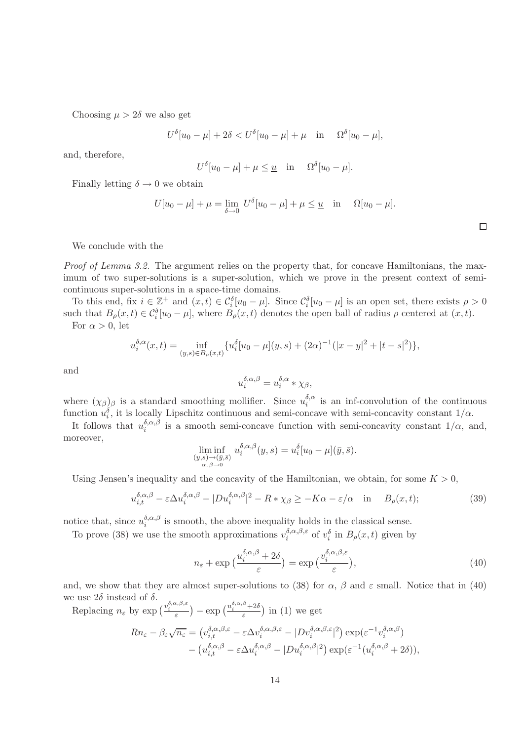Choosing  $\mu > 2\delta$  we also get

$$
U^{\delta}[u_0 - \mu] + 2\delta < U^{\delta}[u_0 - \mu] + \mu
$$
 in  $\Omega^{\delta}[u_0 - \mu],$ 

and, therefore,

$$
U^{\delta}[u_0 - \mu] + \mu \leq \underline{u} \quad \text{in} \quad \Omega^{\delta}[u_0 - \mu].
$$

Finally letting  $\delta \to 0$  we obtain

$$
U[u_0 - \mu] + \mu = \lim_{\delta \to 0} U^{\delta}[u_0 - \mu] + \mu \leq \underline{u} \quad \text{in} \quad \Omega[u_0 - \mu].
$$

We conclude with the

*Proof of Lemma 3.2.* The argument relies on the property that, for concave Hamiltonians, the maximum of two super-solutions is a super-solution, which we prove in the present context of semicontinuous super-solutions in a space-time domains.

To this end, fix  $i \in \mathbb{Z}^+$  and  $(x,t) \in C_i^{\delta}[u_0 - \mu]$ . Since  $C_i^{\delta}[u_0 - \mu]$  is an open set, there exists  $\rho > 0$ such that  $B_{\rho}(x,t) \in C_i^{\delta}[u_0 - \mu]$ , where  $B_{\rho}(x,t)$  denotes the open ball of radius  $\rho$  centered at  $(x,t)$ .

For  $\alpha > 0$ , let

$$
u_i^{\delta,\alpha}(x,t) = \inf_{(y,s)\in B_\rho(x,t)} \{ u_i^{\delta}[u_0 - \mu](y,s) + (2\alpha)^{-1}(|x-y|^2 + |t-s|^2) \},\,
$$

and

$$
u^{\delta,\alpha,\beta}_i=u^{\delta,\alpha}_i\ast\chi_\beta,
$$

where  $(\chi_{\beta})_{\beta}$  is a standard smoothing mollifier. Since  $u_i^{\delta,\alpha}$  $i_i^{\sigma,\alpha}$  is an inf-convolution of the continuous function  $u_i^{\delta}$ , it is locally Lipschitz continuous and semi-concave with semi-concavity constant  $1/\alpha$ .

It follows that  $u_i^{\delta,\alpha,\beta}$ <sup>o, $\alpha$ </sup>,<sup> $\beta$ </sup> is a smooth semi-concave function with semi-concavity constant  $1/\alpha$ , and, moreover,

$$
\liminf_{\substack{(y,s)\to(\bar{y},\bar{s})\\ \alpha, \beta\to 0}} u_i^{\delta,\alpha,\beta}(y,s) = u_i^{\delta}[u_0-\mu](\bar{y},\bar{s}).
$$

Using Jensen's inequality and the concavity of the Hamiltonian, we obtain, for some  $K > 0$ ,

$$
u_{i,t}^{\delta,\alpha,\beta} - \varepsilon \Delta u_i^{\delta,\alpha,\beta} - |Du_i^{\delta,\alpha,\beta}|^2 - R * \chi_\beta \ge -K\alpha - \varepsilon/\alpha \quad \text{in} \quad B_\rho(x,t); \tag{39}
$$

notice that, since  $u_i^{\delta,\alpha,\beta}$  $i_i^{\alpha,\alpha,\beta}$  is smooth, the above inequality holds in the classical sense.

To prove (38) we use the smooth approximations  $v_i^{\delta,\alpha,\beta,\varepsilon}$  $\partial_i^{\alpha,\beta,\varepsilon}$  of  $v_i^{\delta}$  in  $B_{\rho}(x,t)$  given by

$$
n_{\varepsilon} + \exp\left(\frac{u_i^{\delta,\alpha,\beta} + 2\delta}{\varepsilon}\right) = \exp\left(\frac{v_i^{\delta,\alpha,\beta,\varepsilon}}{\varepsilon}\right),\tag{40}
$$

and, we show that they are almost super-solutions to (38) for  $\alpha$ ,  $\beta$  and  $\varepsilon$  small. Notice that in (40) we use  $2\delta$  instead of  $\delta.$ 

Replacing  $n_{\varepsilon}$  by  $\exp\left(\frac{v_i^{\delta,\alpha,\beta,\varepsilon}}{\varepsilon}\right) - \exp\left(\frac{u_i^{\delta,\alpha,\beta}+2\delta}{\varepsilon}\right)$  in (1) we get

$$
Rn_{\varepsilon} - \beta_{\varepsilon}\sqrt{n_{\varepsilon}} = (v_{i,t}^{\delta,\alpha,\beta,\varepsilon} - \varepsilon\Delta v_i^{\delta,\alpha,\beta,\varepsilon} - |Dv_i^{\delta,\alpha,\beta,\varepsilon}|^2) \exp(\varepsilon^{-1}v_i^{\delta,\alpha,\beta}) - (u_{i,t}^{\delta,\alpha,\beta} - \varepsilon\Delta u_i^{\delta,\alpha,\beta} - |Du_i^{\delta,\alpha,\beta}|^2) \exp(\varepsilon^{-1}(u_i^{\delta,\alpha,\beta} + 2\delta)),
$$

 $\Box$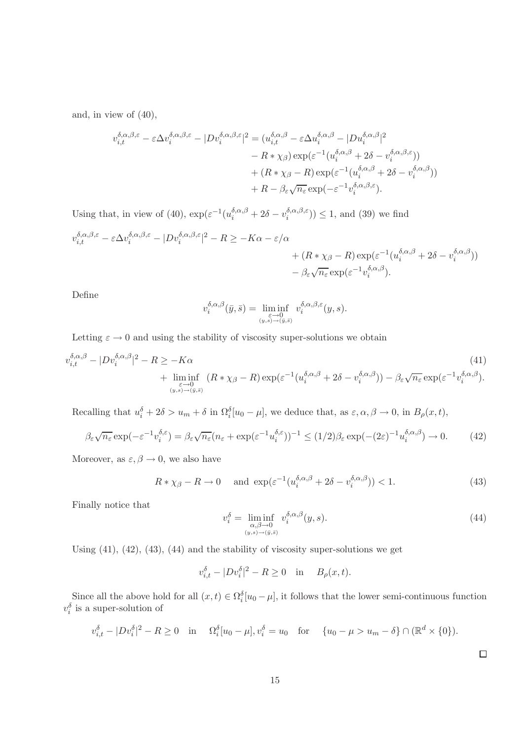and, in view of (40),

$$
v_{i,t}^{\delta,\alpha,\beta,\varepsilon} - \varepsilon \Delta v_i^{\delta,\alpha,\beta,\varepsilon} - |D v_i^{\delta,\alpha,\beta,\varepsilon}|^2 = (u_{i,t}^{\delta,\alpha,\beta} - \varepsilon \Delta u_i^{\delta,\alpha,\beta} - |D u_i^{\delta,\alpha,\beta}|^2 - R * \chi_{\beta}) \exp(\varepsilon^{-1} (u_i^{\delta,\alpha,\beta} + 2\delta - v_i^{\delta,\alpha,\beta,\varepsilon})) + (R * \chi_{\beta} - R) \exp(\varepsilon^{-1} (u_i^{\delta,\alpha,\beta} + 2\delta - v_i^{\delta,\alpha,\beta})) + R - \beta_{\varepsilon} \sqrt{n_{\varepsilon}} \exp(-\varepsilon^{-1} v_i^{\delta,\alpha,\beta,\varepsilon}).
$$

Using that, in view of (40),  $\exp(\varepsilon^{-1}(u_i^{\delta,\alpha,\beta} + 2\delta - v_i^{\delta,\alpha,\beta,\varepsilon})$  $\binom{b, \alpha, \beta, \varepsilon}{i}$  = 1, and (39) we find

$$
v_{i,t}^{\delta,\alpha,\beta,\varepsilon} - \varepsilon \Delta v_i^{\delta,\alpha,\beta,\varepsilon} - |Dv_i^{\delta,\alpha,\beta,\varepsilon}|^2 - R \ge -K\alpha - \varepsilon/\alpha + (R*\chi_\beta - R) \exp(\varepsilon^{-1}(u_i^{\delta,\alpha,\beta} + 2\delta - v_i^{\delta,\alpha,\beta})) - \beta_\varepsilon \sqrt{n_\varepsilon} \exp(\varepsilon^{-1} v_i^{\delta,\alpha,\beta}).
$$

Define

$$
v_i^{\delta,\alpha,\beta}(\bar{y},\bar{s}) = \liminf_{\substack{\varepsilon \to 0 \\ (y,s) \to (\bar{y},\bar{s})}} v_i^{\delta,\alpha,\beta,\varepsilon}(y,s).
$$

Letting  $\varepsilon \to 0$  and using the stability of viscosity super-solutions we obtain

$$
v_{i,t}^{\delta,\alpha,\beta} - |Dv_i^{\delta,\alpha,\beta}|^2 - R \ge -K\alpha
$$
\n
$$
+ \liminf_{\substack{\varepsilon \to 0 \\ (y,s) \to (y,\tilde{s})}} (R * \chi_{\beta} - R) \exp(\varepsilon^{-1}(u_i^{\delta,\alpha,\beta} + 2\delta - v_i^{\delta,\alpha,\beta})) - \beta_{\varepsilon} \sqrt{n_{\varepsilon}} \exp(\varepsilon^{-1} v_i^{\delta,\alpha,\beta}).
$$
\n(41)

Recalling that  $u_i^{\delta} + 2\delta > u_m + \delta$  in  $\Omega_i^{\delta}[u_0 - \mu]$ , we deduce that, as  $\varepsilon, \alpha, \beta \to 0$ , in  $B_{\rho}(x, t)$ ,

$$
\beta_{\varepsilon}\sqrt{n_{\varepsilon}}\exp(-\varepsilon^{-1}v_{i}^{\delta,\varepsilon}) = \beta_{\varepsilon}\sqrt{n_{\varepsilon}}(n_{\varepsilon} + \exp(\varepsilon^{-1}u_{i}^{\delta,\varepsilon}))^{-1} \le (1/2)\beta_{\varepsilon}\exp(-(2\varepsilon)^{-1}u_{i}^{\delta,\alpha,\beta}) \to 0. \tag{42}
$$

Moreover, as  $\varepsilon, \beta \to 0$ , we also have

$$
R * \chi_{\beta} - R \to 0 \quad \text{and } \exp(\varepsilon^{-1}(u_i^{\delta,\alpha,\beta} + 2\delta - v_i^{\delta,\alpha,\beta})) < 1. \tag{43}
$$

Finally notice that

$$
v_i^{\delta} = \liminf_{\substack{\alpha, \beta \to 0 \\ (y, s) \to (\bar{y}, \bar{s})}} v_i^{\delta, \alpha, \beta}(y, s). \tag{44}
$$

Using  $(41)$ ,  $(42)$ ,  $(43)$ ,  $(44)$  and the stability of viscosity super-solutions we get

$$
v_{i,t}^{\delta} - |Dv_i^{\delta}|^2 - R \ge 0 \quad \text{in} \quad B_{\rho}(x,t).
$$

Since all the above hold for all  $(x,t) \in \Omega_i^{\delta}[u_0 - \mu]$ , it follows that the lower semi-continuous function  $v_i^{\delta}$  is a super-solution of

$$
v_{i,t}^{\delta} - |Dv_i^{\delta}|^2 - R \ge 0
$$
 in  $\Omega_i^{\delta}[u_0 - \mu], v_i^{\delta} = u_0$  for  $\{u_0 - \mu > u_m - \delta\} \cap (\mathbb{R}^d \times \{0\}).$ 

 $\Box$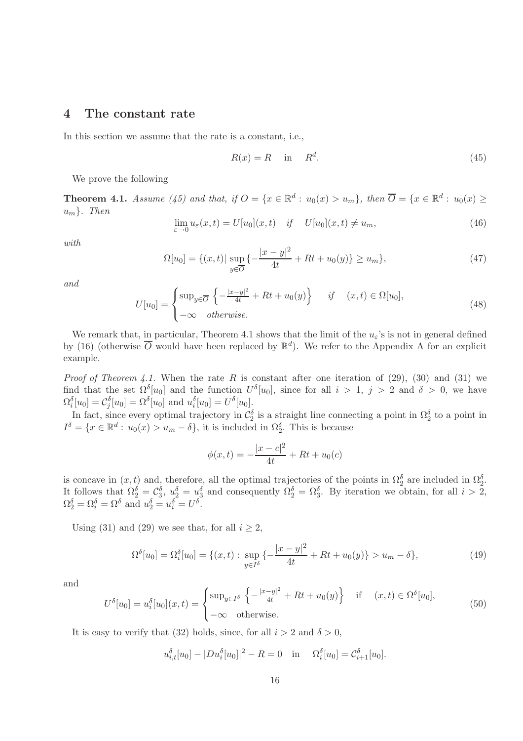#### 4 The constant rate

In this section we assume that the rate is a constant, i.e.,

$$
R(x) = R \quad \text{in} \quad R^d. \tag{45}
$$

We prove the following

**Theorem 4.1.** *Assume* (45) and that, if  $O = \{x \in \mathbb{R}^d : u_0(x) > u_m\}$ , then  $\overline{O} = \{x \in \mathbb{R}^d : u_0(x) \geq u_m\}$ um}*. Then*

$$
\lim_{\varepsilon \to 0} u_{\varepsilon}(x, t) = U[u_0](x, t) \quad \text{if} \quad U[u_0](x, t) \neq u_m,
$$
\n(46)

*with*

$$
\Omega[u_0] = \{(x, t) | \sup_{y \in \overline{O}} \{-\frac{|x - y|^2}{4t} + Rt + u_0(y)\} \ge u_m\},\tag{47}
$$

*and*

$$
U[u_0] = \begin{cases} \sup_{y \in \overline{O}} \left\{ -\frac{|x-y|^2}{4t} + Rt + u_0(y) \right\} & \text{if} \quad (x, t) \in \Omega[u_0], \\ -\infty & otherwise. \end{cases}
$$
(48)

We remark that, in particular, Theorem 4.1 shows that the limit of the  $u_{\varepsilon}$ 's is not in general defined by (16) (otherwise  $\overline{O}$  would have been replaced by  $\mathbb{R}^d$ ). We refer to the Appendix A for an explicit example.

*Proof of Theorem 4.1.* When the rate R is constant after one iteration of  $(29)$ ,  $(30)$  and  $(31)$  we find that the set  $\Omega^{\delta}[u_0]$  and the function  $U^{\delta}[u_0]$ , since for all  $i > 1$ ,  $j > 2$  and  $\delta > 0$ , we have  $\Omega_i^{\delta}[u_0] = \mathcal{C}_j^{\delta}[u_0] = \Omega^{\delta}[u_0]$  and  $u_i^{\delta}[u_0] = U^{\delta}[u_0]$ .

In fact, since every optimal trajectory in  $\mathcal{C}_2^{\delta}$  is a straight line connecting a point in  $\Omega_2^{\delta}$  to a point in  $I^{\delta} = \{x \in \mathbb{R}^d : u_0(x) > u_m - \delta\},\$ it is included in  $\Omega_2^{\delta}$ . This is because

$$
\phi(x,t) = -\frac{|x-c|^2}{4t} + Rt + u_0(c)
$$

is concave in  $(x, t)$  and, therefore, all the optimal trajectories of the points in  $\Omega_2^{\delta}$  are included in  $\Omega_2^{\delta}$ . It follows that  $\Omega_2^{\delta} = C_3^{\delta}$ ,  $u_2^{\delta} = u_3^{\delta}$  and consequently  $\Omega_2^{\delta} = \Omega_3^{\delta}$ . By iteration we obtain, for all  $i > 2$ ,  $\Omega_2^{\delta} = \Omega_i^{\delta} = \Omega^{\delta}$  and  $u_2^{\delta} = u_i^{\delta} = U^{\delta}$ .

Using (31) and (29) we see that, for all  $i \geq 2$ ,

$$
\Omega^{\delta}[u_0] = \Omega_i^{\delta}[u_0] = \{(x, t) : \sup_{y \in I^{\delta}} \{-\frac{|x - y|^2}{4t} + Rt + u_0(y)\} > u_m - \delta\},\tag{49}
$$

and

$$
U^{\delta}[u_0] = u_i^{\delta}[u_0](x,t) = \begin{cases} \sup_{y \in I^{\delta}} \left\{ -\frac{|x-y|^2}{4t} + Rt + u_0(y) \right\} & \text{if } (x,t) \in \Omega^{\delta}[u_0], \\ -\infty & \text{otherwise.} \end{cases}
$$
(50)

It is easy to verify that (32) holds, since, for all  $i > 2$  and  $\delta > 0$ .

$$
u_{i,t}^{\delta}[u_0] - |Du_i^{\delta}[u_0]|^2 - R = 0
$$
 in  $\Omega_i^{\delta}[u_0] = C_{i+1}^{\delta}[u_0].$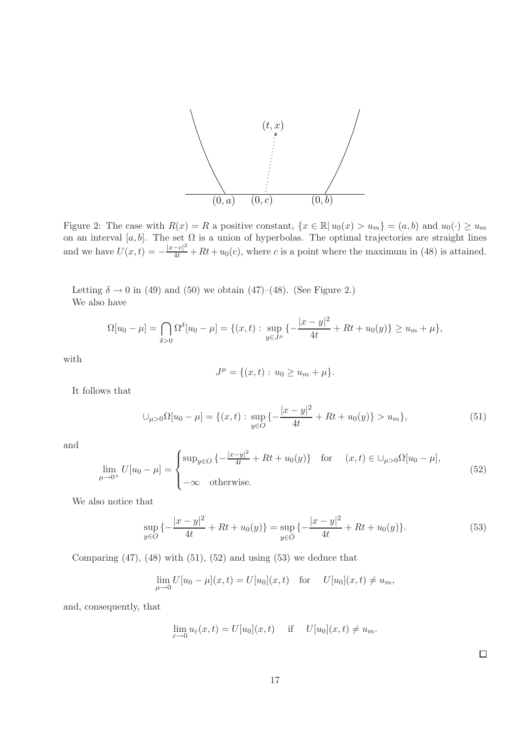

Figure 2: The case with  $R(x) = R$  a positive constant,  $\{x \in \mathbb{R} | u_0(x) > u_m\} = (a, b)$  and  $u_0(\cdot) \ge u_m$ on an interval [a, b]. The set  $\Omega$  is a union of hyperbolas. The optimal trajectories are straight lines and we have  $U(x,t) = -\frac{|x-c|^2}{4t} + Rt + u_0(c)$ , where c is a point where the maximum in (48) is attained.

Letting  $\delta \to 0$  in (49) and (50) we obtain (47)–(48). (See Figure 2.) We also have

$$
\Omega[u_0 - \mu] = \bigcap_{\delta > 0} \Omega^{\delta}[u_0 - \mu] = \{(x, t) : \sup_{y \in J^{\mu}} \left\{ -\frac{|x - y|^2}{4t} + Rt + u_0(y) \right\} \ge u_m + \mu \},
$$

with

$$
J^{\mu} = \{(x, t) : u_0 \ge u_m + \mu\}.
$$

It follows that

$$
\bigcup_{\mu>0} \Omega[u_0 - \mu] = \{(x, t) : \sup_{y \in O} \left\{ -\frac{|x - y|^2}{4t} + Rt + u_0(y) \right\} > u_m \},\tag{51}
$$

and

$$
\lim_{\mu \to 0^+} U[u_0 - \mu] = \begin{cases} \sup_{y \in O} \left\{ -\frac{|x - y|^2}{4t} + Rt + u_0(y) \right\} & \text{for} \quad (x, t) \in \bigcup_{\mu > 0} \Omega[u_0 - \mu], \\ -\infty & \text{otherwise.} \end{cases} \tag{52}
$$

We also notice that

$$
\sup_{y \in O} \left\{ -\frac{|x - y|^2}{4t} + Rt + u_0(y) \right\} = \sup_{y \in \bar{O}} \left\{ -\frac{|x - y|^2}{4t} + Rt + u_0(y) \right\}.
$$
 (53)

Comparing  $(47)$ ,  $(48)$  with  $(51)$ ,  $(52)$  and using  $(53)$  we deduce that

$$
\lim_{\mu \to 0} U[u_0 - \mu](x, t) = U[u_0](x, t) \text{ for } U[u_0](x, t) \neq u_m,
$$

and, consequently, that

$$
\lim_{\varepsilon \to 0} u_{\varepsilon}(x, t) = U[u_0](x, t) \quad \text{if} \quad U[u_0](x, t) \neq u_m.
$$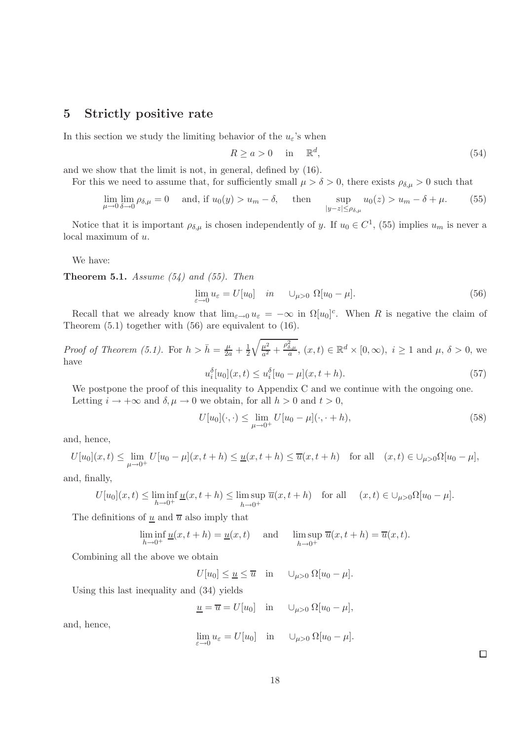#### 5 Strictly positive rate

In this section we study the limiting behavior of the  $u_{\varepsilon}$ 's when

$$
R \ge a > 0 \quad \text{in} \quad \mathbb{R}^d,\tag{54}
$$

and we show that the limit is not, in general, defined by (16).

For this we need to assume that, for sufficiently small  $\mu > \delta > 0$ , there exists  $\rho_{\delta,\mu} > 0$  such that

$$
\lim_{\mu \to 0} \lim_{\delta \to 0} \rho_{\delta,\mu} = 0 \quad \text{and, if } u_0(y) > u_m - \delta, \quad \text{then} \quad \sup_{|y-z| \le \rho_{\delta,\mu}} u_0(z) > u_m - \delta + \mu. \tag{55}
$$

Notice that it is important  $\rho_{\delta,\mu}$  is chosen independently of y. If  $u_0 \in C^1$ , (55) implies  $u_m$  is never a local maximum of u.

We have:

Theorem 5.1. *Assume (54) and (55). Then*

$$
\lim_{\varepsilon \to 0} u_{\varepsilon} = U[u_0] \quad in \quad \bigcup_{\mu > 0} \Omega[u_0 - \mu]. \tag{56}
$$

Recall that we already know that  $\lim_{\varepsilon\to 0} u_{\varepsilon} = -\infty$  in  $\Omega[u_0]^c$ . When R is negative the claim of Theorem (5.1) together with (56) are equivalent to (16).

*Proof of Theorem (5.1).* For  $h > \overline{h} = \frac{\mu}{2a} + \frac{1}{2}$ 2  $\sqrt{\mu^2}$  $\frac{\mu^2}{a^2} + \frac{\rho_{\delta,\mu}^2}{a}$ ,  $(x,t) \in \mathbb{R}^d \times [0,\infty)$ ,  $i \ge 1$  and  $\mu$ ,  $\delta > 0$ , we have

$$
u_i^{\delta}[u_0](x,t) \le u_i^{\delta}[u_0 - \mu](x,t+h). \tag{57}
$$

We postpone the proof of this inequality to Appendix C and we continue with the ongoing one. Letting  $i \to +\infty$  and  $\delta, \mu \to 0$  we obtain, for all  $h > 0$  and  $t > 0$ ,

$$
U[u_0](\cdot, \cdot) \le \lim_{\mu \to 0^+} U[u_0 - \mu](\cdot, \cdot + h), \tag{58}
$$

and, hence,

 $U[u_0](x,t) \le \lim_{\mu \to 0^+} U[u_0 - \mu](x,t+h) \le \underline{u}(x,t+h) \le \overline{u}(x,t+h)$  for all  $(x,t) \in \bigcup_{\mu > 0} \Omega[u_0 - \mu],$ 

and, finally,

$$
U[u_0](x,t) \le \liminf_{h \to 0^+} \underline{u}(x,t+h) \le \limsup_{h \to 0^+} \overline{u}(x,t+h) \quad \text{for all} \quad (x,t) \in \bigcup_{\mu > 0} \Omega[u_0 - \mu].
$$

The definitions of  $\underline{u}$  and  $\overline{u}$  also imply that

$$
\liminf_{h \to 0^+} \underline{u}(x, t + h) = \underline{u}(x, t) \quad \text{and} \quad \limsup_{h \to 0^+} \overline{u}(x, t + h) = \overline{u}(x, t).
$$

Combining all the above we obtain

$$
U[u_0] \leq \underline{u} \leq \overline{u} \quad \text{in} \quad \cup_{\mu>0} \Omega[u_0-\mu].
$$

Using this last inequality and (34) yields

 $\underline{u} = \overline{u} = U[u_0]$  in  $\bigcup_{\mu > 0} \Omega[u_0 - \mu],$ 

and, hence,

$$
\lim_{\varepsilon \to 0} u_{\varepsilon} = U[u_0] \quad \text{in} \quad \cup_{\mu > 0} \Omega[u_0 - \mu].
$$

 $\Box$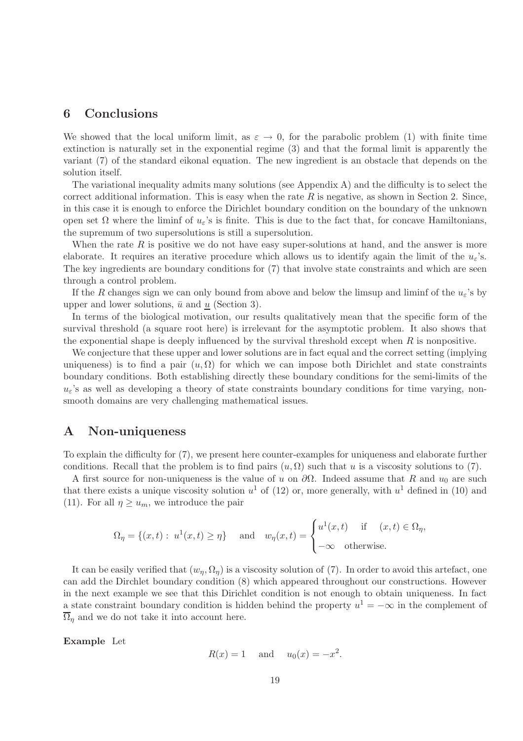### 6 Conclusions

We showed that the local uniform limit, as  $\varepsilon \to 0$ , for the parabolic problem (1) with finite time extinction is naturally set in the exponential regime (3) and that the formal limit is apparently the variant (7) of the standard eikonal equation. The new ingredient is an obstacle that depends on the solution itself.

The variational inequality admits many solutions (see Appendix A) and the difficulty is to select the correct additional information. This is easy when the rate  $R$  is negative, as shown in Section 2. Since, in this case it is enough to enforce the Dirichlet boundary condition on the boundary of the unknown open set  $\Omega$  where the liminf of  $u_{\varepsilon}$ 's is finite. This is due to the fact that, for concave Hamiltonians, the supremum of two supersolutions is still a supersolution.

When the rate  $R$  is positive we do not have easy super-solutions at hand, and the answer is more elaborate. It requires an iterative procedure which allows us to identify again the limit of the  $u_{\varepsilon}$ 's. The key ingredients are boundary conditions for (7) that involve state constraints and which are seen through a control problem.

If the R changes sign we can only bound from above and below the limsup and liminf of the  $u_{\varepsilon}$ 's by upper and lower solutions,  $\bar{u}$  and u (Section 3).

In terms of the biological motivation, our results qualitatively mean that the specific form of the survival threshold (a square root here) is irrelevant for the asymptotic problem. It also shows that the exponential shape is deeply influenced by the survival threshold except when  $R$  is nonpositive.

We conjecture that these upper and lower solutions are in fact equal and the correct setting (implying uniqueness) is to find a pair  $(u, \Omega)$  for which we can impose both Dirichlet and state constraints boundary conditions. Both establishing directly these boundary conditions for the semi-limits of the  $u_{\varepsilon}$ 's as well as developing a theory of state constraints boundary conditions for time varying, nonsmooth domains are very challenging mathematical issues.

#### A Non-uniqueness

To explain the difficulty for (7), we present here counter-examples for uniqueness and elaborate further conditions. Recall that the problem is to find pairs  $(u, \Omega)$  such that u is a viscosity solutions to (7).

A first source for non-uniqueness is the value of u on  $\partial\Omega$ . Indeed assume that R and u<sub>0</sub> are such that there exists a unique viscosity solution  $u^1$  of (12) or, more generally, with  $u^1$  defined in (10) and (11). For all  $\eta \geq u_m$ , we introduce the pair

$$
\Omega_{\eta} = \{(x, t): u^{1}(x, t) \geq \eta\} \quad \text{ and } \quad w_{\eta}(x, t) = \begin{cases} u^{1}(x, t) & \text{if } (x, t) \in \Omega_{\eta}, \\ -\infty & \text{otherwise.} \end{cases}
$$

It can be easily verified that  $(w_n, \Omega_n)$  is a viscosity solution of (7). In order to avoid this artefact, one can add the Dirchlet boundary condition (8) which appeared throughout our constructions. However in the next example we see that this Dirichlet condition is not enough to obtain uniqueness. In fact a state constraint boundary condition is hidden behind the property  $u^1 = -\infty$  in the complement of  $\overline{\Omega}_n$  and we do not take it into account here.

Example Let

$$
R(x) = 1 \quad \text{and} \quad u_0(x) = -x^2.
$$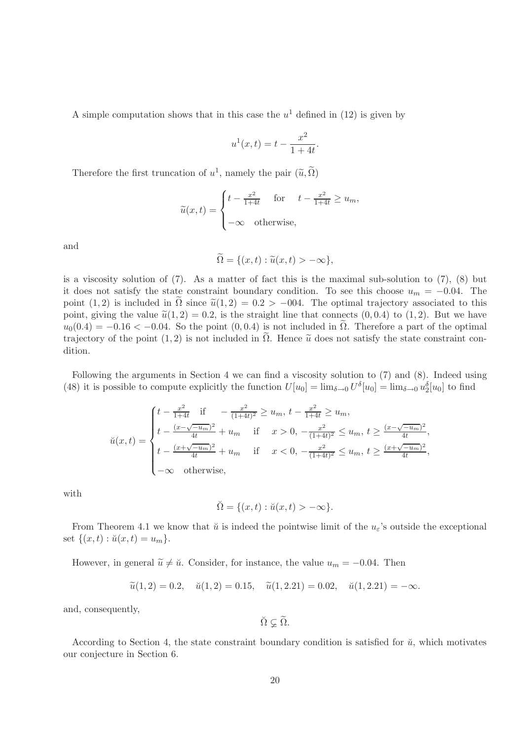A simple computation shows that in this case the  $u^1$  defined in (12) is given by

$$
u^{1}(x,t) = t - \frac{x^{2}}{1+4t}.
$$

Therefore the first truncation of  $u^1$ , namely the pair  $(\widetilde{u}, \widetilde{\Omega})$ 

$$
\widetilde{u}(x,t) = \begin{cases} t - \frac{x^2}{1+4t} & \text{for} \quad t - \frac{x^2}{1+4t} \ge u_m, \\ -\infty & \text{otherwise,} \end{cases}
$$

and

$$
\Omega = \{(x, t) : \tilde{u}(x, t) > -\infty\},\
$$

is a viscosity solution of (7). As a matter of fact this is the maximal sub-solution to (7), (8) but it does not satisfy the state constraint boundary condition. To see this choose  $u_m = -0.04$ . The point (1, 2) is included in  $\Omega$  since  $\tilde{u}(1, 2) = 0.2 > -004$ . The optimal trajectory associated to this point, giving the value  $\tilde{u}(1, 2) = 0.2$ , is the straight line that connects  $(0, 0.4)$  to  $(1, 2)$ . But we have  $u_0(0.4) = -0.16 < -0.04$ . So the point  $(0, 0.4)$  is not included in  $\Omega$ . Therefore a part of the optimal trajectory of the point  $(1, 2)$  is not included in  $\Omega$ . Hence  $\tilde{u}$  does not satisfy the state constraint condition.

Following the arguments in Section 4 we can find a viscosity solution to (7) and (8). Indeed using (48) it is possible to compute explicitly the function  $U[u_0] = \lim_{\delta \to 0} U^{\delta}[u_0] = \lim_{\delta \to 0} u_2^{\delta}[u_0]$  to find

$$
\breve{u}(x,t) = \begin{cases} t - \frac{x^2}{1+4t} & \text{if } -\frac{x^2}{(1+4t)^2} \ge u_m, \ t - \frac{x^2}{1+4t} \ge u_m, \\ t - \frac{(x-\sqrt{-u_m})^2}{4t} + u_m & \text{if } x > 0, -\frac{x^2}{(1+4t)^2} \le u_m, \ t \ge \frac{(x-\sqrt{-u_m})^2}{4t}, \\ t - \frac{(x+\sqrt{-u_m})^2}{4t} + u_m & \text{if } x < 0, -\frac{x^2}{(1+4t)^2} \le u_m, \ t \ge \frac{(x+\sqrt{-u_m})^2}{4t}, \\ -\infty & \text{otherwise,} \end{cases}
$$

with

$$
\breve{\Omega} = \{(x, t) : \breve{u}(x, t) > -\infty\}.
$$

From Theorem 4.1 we know that  $\check{u}$  is indeed the pointwise limit of the  $u_{\varepsilon}$ 's outside the exceptional set  $\{(x,t): u(x,t) = u_m\}.$ 

However, in general  $\tilde{u} \neq \tilde{u}$ . Consider, for instance, the value  $u_m = -0.04$ . Then

$$
\widetilde{u}(1,2) = 0.2
$$
,  $\widetilde{u}(1,2) = 0.15$ ,  $\widetilde{u}(1,2.21) = 0.02$ ,  $\widetilde{u}(1,2.21) = -\infty$ .

and, consequently,

$$
\breve{\Omega}\varsubsetneq\widetilde{\Omega}.
$$

According to Section 4, the state constraint boundary condition is satisfied for  $\check{u}$ , which motivates our conjecture in Section 6.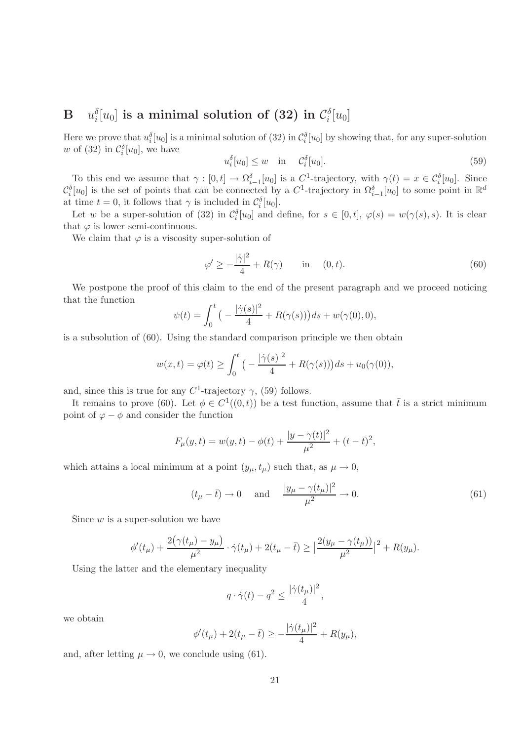#### $\mathbf{B}$   $u_i^{\delta}$  $\mathcal{E}^\delta_i[u_0] \text{ is a minimal solution of (32) in } \mathcal{C}_i^\delta$  $\int\limits_{i}^{\delta}[u_0]$

Here we prove that  $u_i^{\delta}[u_0]$  is a minimal solution of (32) in  $\mathcal{C}_i^{\delta}[u_0]$  by showing that, for any super-solution w of (32) in  $\mathcal{C}_i^{\delta}[u_0]$ , we have

$$
u_i^{\delta}[u_0] \le w \quad \text{in} \quad \mathcal{C}_i^{\delta}[u_0]. \tag{59}
$$

To this end we assume that  $\gamma : [0, t] \to \Omega_{i-1}^{\delta}[u_0]$  is a  $C^1$ -trajectory, with  $\gamma(t) = x \in C_i^{\delta}[u_0]$ . Since  $i-1$  $\mathcal{C}_i^{\delta}[u_0]$  is the set of points that can be connected by a  $C^1$ -trajectory in  $\Omega_{i-1}^{\delta}[u_0]$  to some point in  $\mathbb{R}^d$ at time  $t = 0$ , it follows that  $\gamma$  is included in  $\mathcal{C}_i^{\delta}[u_0]$ .

Let w be a super-solution of (32) in  $\mathcal{C}_i^{\delta}[u_0]$  and define, for  $s \in [0,t]$ ,  $\varphi(s) = w(\gamma(s),s)$ . It is clear that  $\varphi$  is lower semi-continuous.

We claim that  $\varphi$  is a viscosity super-solution of

$$
\varphi' \ge -\frac{|\dot{\gamma}|^2}{4} + R(\gamma) \qquad \text{in} \quad (0, t). \tag{60}
$$

We postpone the proof of this claim to the end of the present paragraph and we proceed noticing that the function

$$
\psi(t) = \int_0^t \left( -\frac{|\dot{\gamma}(s)|^2}{4} + R(\gamma(s)) \right) ds + w(\gamma(0), 0),
$$

is a subsolution of (60). Using the standard comparison principle we then obtain

$$
w(x,t) = \varphi(t) \ge \int_0^t \big( -\frac{|\dot{\gamma}(s)|^2}{4} + R(\gamma(s)) \big) ds + u_0(\gamma(0)),
$$

and, since this is true for any  $C^1$ -trajectory  $\gamma$ , (59) follows.

It remains to prove (60). Let  $\phi \in C^1((0,t))$  be a test function, assume that  $\bar{t}$  is a strict minimum point of  $\varphi - \phi$  and consider the function

$$
F_{\mu}(y,t) = w(y,t) - \phi(t) + \frac{|y - \gamma(t)|^2}{\mu^2} + (t - \bar{t})^2,
$$

which attains a local minimum at a point  $(y_{\mu}, t_{\mu})$  such that, as  $\mu \to 0$ ,

$$
(t_{\mu} - \bar{t}) \to 0 \quad \text{and} \quad \frac{|y_{\mu} - \gamma(t_{\mu})|^2}{\mu^2} \to 0. \tag{61}
$$

Since  $w$  is a super-solution we have

$$
\phi'(t_{\mu}) + \frac{2(\gamma(t_{\mu}) - y_{\mu})}{\mu^2} \cdot \dot{\gamma}(t_{\mu}) + 2(t_{\mu} - \bar{t}) \geq \left| \frac{2(y_{\mu} - \gamma(t_{\mu}))}{\mu^2} \right|^2 + R(y_{\mu}).
$$

Using the latter and the elementary inequality

$$
q \cdot \dot{\gamma}(t) - q^2 \le \frac{|\dot{\gamma}(t_\mu)|^2}{4},
$$

we obtain

$$
\phi'(t_{\mu}) + 2(t_{\mu} - \bar{t}) \ge -\frac{|\dot{\gamma}(t_{\mu})|^2}{4} + R(y_{\mu}),
$$

and, after letting  $\mu \to 0$ , we conclude using (61).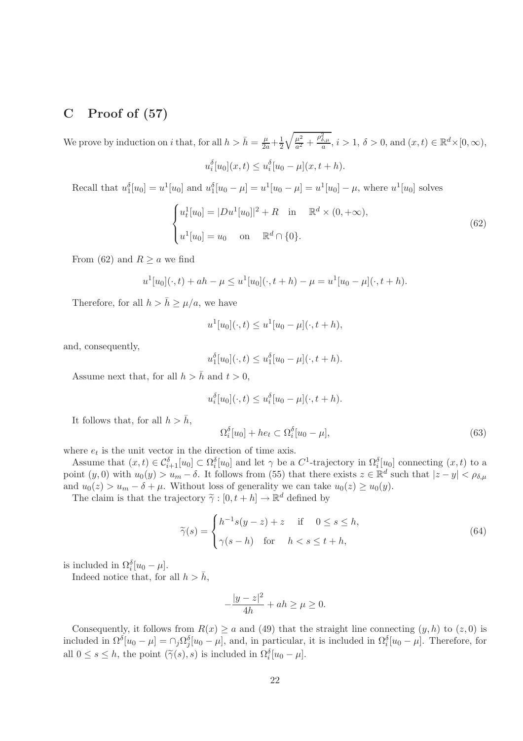# C Proof of  $(57)$

We prove by induction on i that, for all  $h > \bar{h} = \frac{\mu}{2a} + \frac{1}{2}$ 2  $\sqrt{\mu^2}$  $\frac{\mu^2}{a^2} + \frac{\rho_{\delta,\mu}^2}{a}, i > 1, \delta > 0, \text{and } (x, t) \in \mathbb{R}^d \times [0, \infty),$  $u_i^{\delta}[u_0](x,t) \leq u_i^{\delta}[u_0 - \mu](x,t+h).$ 

Recall that  $u_1^{\delta}[u_0] = u^1[u_0]$  and  $u_1^{\delta}[u_0 - \mu] = u^1[u_0 - \mu] = u^1[u_0] - \mu$ , where  $u^1[u_0]$  solves

$$
\begin{cases} u_t^1[u_0] = |Du^1[u_0]|^2 + R & \text{in } \mathbb{R}^d \times (0, +\infty), \\ u^1[u_0] = u_0 & \text{on } \mathbb{R}^d \cap \{0\}. \end{cases}
$$
 (62)

From (62) and  $R \ge a$  we find

$$
u^{1}[u_{0}](\cdot,t) + ah - \mu \leq u^{1}[u_{0}](\cdot,t+h) - \mu = u^{1}[u_{0} - \mu](\cdot,t+h).
$$

Therefore, for all  $h > \bar{h} \geq \mu/a$ , we have

$$
u^{1}[u_{0}](\cdot,t) \leq u^{1}[u_{0}-\mu](\cdot,t+h),
$$

and, consequently,

$$
u_1^{\delta}[u_0](\cdot,t) \leq u_1^{\delta}[u_0 - \mu](\cdot,t+h).
$$

Assume next that, for all  $h > \bar{h}$  and  $t > 0$ ,

$$
u_i^{\delta}[u_0](\cdot,t) \leq u_i^{\delta}[u_0 - \mu](\cdot,t+h).
$$

It follows that, for all  $h > \bar{h}$ ,

$$
\Omega_i^{\delta}[u_0] + he_t \subset \Omega_i^{\delta}[u_0 - \mu],\tag{63}
$$

where  $e_t$  is the unit vector in the direction of time axis.

Assume that  $(x,t) \in C_{i+1}^{\delta}[u_0] \subset \Omega_i^{\delta}[u_0]$  and let  $\gamma$  be a  $C^1$ -trajectory in  $\Omega_i^{\delta}[u_0]$  connecting  $(x,t)$  to a point  $(y, 0)$  with  $u_0(y) > u_m - \delta$ . It follows from (55) that there exists  $z \in \mathbb{R}^d$  such that  $|z - y| < \rho_{\delta, \mu}$ and  $u_0(z) > u_m - \delta + \mu$ . Without loss of generality we can take  $u_0(z) \ge u_0(y)$ .

The claim is that the trajectory  $\widetilde{\gamma} : [0, t + h] \to \mathbb{R}^d$  defined by

$$
\widetilde{\gamma}(s) = \begin{cases} h^{-1}s(y-z) + z & \text{if } 0 \le s \le h, \\ \gamma(s-h) & \text{for } h < s \le t+h, \end{cases}
$$
\n(64)

is included in  $\Omega_i^{\delta}[u_0 - \mu]$ .

Indeed notice that, for all  $h > \bar{h}$ ,

$$
-\frac{|y-z|^2}{4h}+ah\geq\mu\geq0.
$$

Consequently, it follows from  $R(x) \ge a$  and (49) that the straight line connecting  $(y, h)$  to  $(z, 0)$  is included in  $\Omega^{\delta}[u_0 - \mu] = \cap_j \Omega^{\delta}_j[u_0 - \mu]$ , and, in particular, it is included in  $\Omega^{\delta}_i[u_0 - \mu]$ . Therefore, for all  $0 \le s \le h$ , the point  $(\tilde{\gamma}(s), s)$  is included in  $\Omega_i^{\delta}[u_0 - \mu]$ .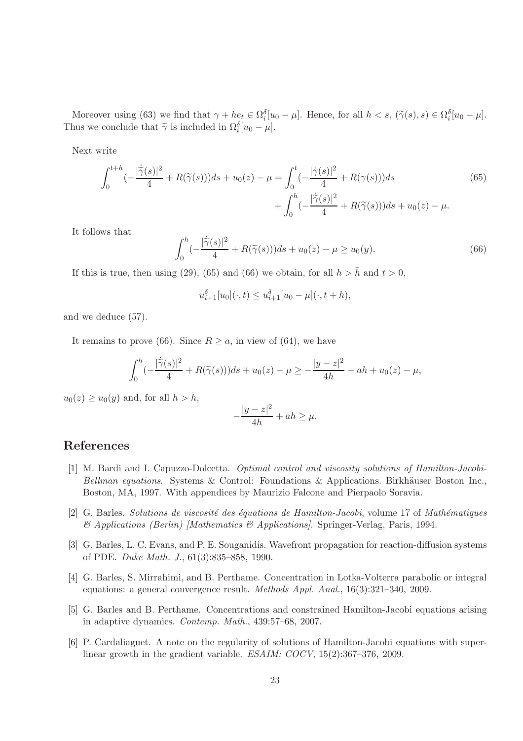Moreover using (63) we find that  $\gamma + he_t \in \Omega_i^{\delta}[u_0 - \mu]$ . Hence, for all  $h < s$ ,  $(\widetilde{\gamma}(s), s) \in \Omega_i^{\delta}[u_0 - \mu]$ . Thus we conclude that  $\widetilde{\gamma}$  is included in  $\Omega_i^{\delta}[u_0 - \mu]$ .

Next write

$$
\int_0^{t+h} \left(-\frac{|\dot{\tilde{\gamma}}(s)|^2}{4} + R(\tilde{\gamma}(s))\right)ds + u_0(z) - \mu = \int_0^t \left(-\frac{|\dot{\gamma}(s)|^2}{4} + R(\gamma(s))\right)ds + \int_0^h \left(-\frac{|\dot{\tilde{\gamma}}(s)|^2}{4} + R(\tilde{\gamma}(s))\right)ds + u_0(z) - \mu.
$$
\n(65)

It follows that

$$
\int_0^h \left(-\frac{|\dot{\tilde{\gamma}}(s)|^2}{4} + R(\tilde{\gamma}(s))\right)ds + u_0(z) - \mu \ge u_0(y). \tag{66}
$$

If this is true, then using (29), (65) and (66) we obtain, for all  $h > \bar{h}$  and  $t > 0$ ,

$$
u_{i+1}^{\delta}[u_0](\cdot,t) \leq u_{i+1}^{\delta}[u_0 - \mu](\cdot,t+h),
$$

and we deduce (57).

It remains to prove (66). Since  $R \ge a$ , in view of (64), we have

$$
\int_0^h \left(-\frac{|\dot{\tilde{\gamma}}(s)|^2}{4} + R(\tilde{\gamma}(s))\right)ds + u_0(z) - \mu \ge -\frac{|y-z|^2}{4h} + ah + u_0(z) - \mu,
$$

 $u_0(z) \ge u_0(y)$  and, for all  $h > \bar{h}$ ,

$$
-\frac{|y-z|^2}{4h} + ah \ge \mu.
$$

### References

- [1] M. Bardi and I. Capuzzo-Dolcetta. *Optimal control and viscosity solutions of Hamilton-Jacobi-Bellman equations.* Systems & Control: Foundations & Applications. Birkhäuser Boston Inc., Boston, MA, 1997. With appendices by Maurizio Falcone and Pierpaolo Soravia.
- [2] G. Barles. *Solutions de viscosit´e des ´equations de Hamilton-Jacobi*, volume 17 of *Math´ematiques & Applications (Berlin) [Mathematics & Applications]*. Springer-Verlag, Paris, 1994.
- [3] G. Barles, L. C. Evans, and P. E. Souganidis. Wavefront propagation for reaction-diffusion systems of PDE. *Duke Math. J.*, 61(3):835–858, 1990.
- [4] G. Barles, S. Mirrahimi, and B. Perthame. Concentration in Lotka-Volterra parabolic or integral equations: a general convergence result. *Methods Appl. Anal.*, 16(3):321–340, 2009.
- [5] G. Barles and B. Perthame. Concentrations and constrained Hamilton-Jacobi equations arising in adaptive dynamics. *Contemp. Math.*, 439:57–68, 2007.
- [6] P. Cardaliaguet. A note on the regularity of solutions of Hamilton-Jacobi equations with superlinear growth in the gradient variable. *ESAIM: COCV*, 15(2):367–376, 2009.